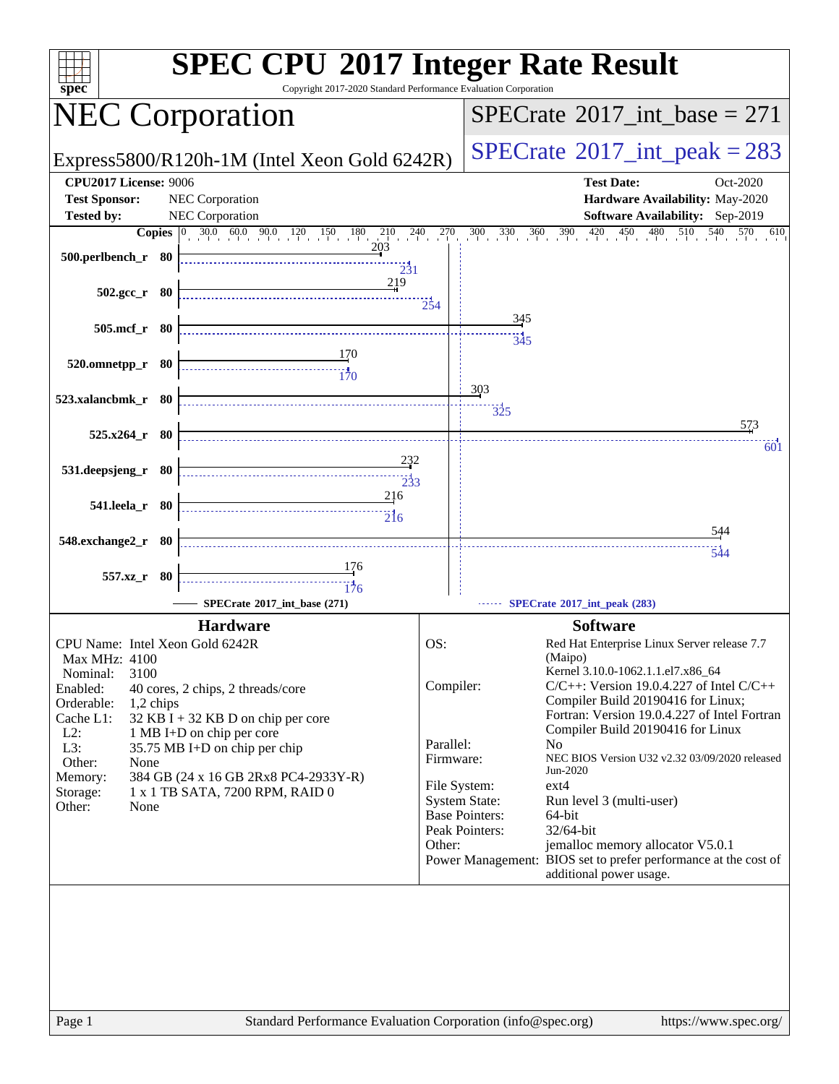| $spec^*$                                                                                                                                                                                                                                                                                                                                                                                                                                                                                  | <b>SPEC CPU®2017 Integer Rate Result</b><br>Copyright 2017-2020 Standard Performance Evaluation Corporation                                                                                                                                                                                                                                                                                                                                                                                                                                                                                                                                                                                                        |
|-------------------------------------------------------------------------------------------------------------------------------------------------------------------------------------------------------------------------------------------------------------------------------------------------------------------------------------------------------------------------------------------------------------------------------------------------------------------------------------------|--------------------------------------------------------------------------------------------------------------------------------------------------------------------------------------------------------------------------------------------------------------------------------------------------------------------------------------------------------------------------------------------------------------------------------------------------------------------------------------------------------------------------------------------------------------------------------------------------------------------------------------------------------------------------------------------------------------------|
| <b>NEC Corporation</b>                                                                                                                                                                                                                                                                                                                                                                                                                                                                    | $SPECrate^{\circledast}2017\_int\_base = 271$                                                                                                                                                                                                                                                                                                                                                                                                                                                                                                                                                                                                                                                                      |
| Express5800/R120h-1M (Intel Xeon Gold 6242R)                                                                                                                                                                                                                                                                                                                                                                                                                                              | $SPECrate^{\circ}2017\_int\_peak = 283$                                                                                                                                                                                                                                                                                                                                                                                                                                                                                                                                                                                                                                                                            |
| <b>CPU2017 License: 9006</b><br><b>Test Sponsor:</b><br>NEC Corporation<br><b>NEC Corporation</b><br><b>Tested by:</b>                                                                                                                                                                                                                                                                                                                                                                    | <b>Test Date:</b><br>Oct-2020<br>Hardware Availability: May-2020<br>Software Availability: Sep-2019                                                                                                                                                                                                                                                                                                                                                                                                                                                                                                                                                                                                                |
|                                                                                                                                                                                                                                                                                                                                                                                                                                                                                           |                                                                                                                                                                                                                                                                                                                                                                                                                                                                                                                                                                                                                                                                                                                    |
| 500.perlbench_r 80<br>$\overline{231}$                                                                                                                                                                                                                                                                                                                                                                                                                                                    | <b>Copies</b> $\begin{bmatrix} 0 & 30.0 & 60.0 & 90.0 & 120 & 150 & 180 & 210 & 240 & 270 & 300 & 330 & 360 & 390 & 420 & 450 & 480 & 510 & 540 & 570 & 610 \end{bmatrix}$                                                                                                                                                                                                                                                                                                                                                                                                                                                                                                                                         |
| 219<br>$502.\text{gcc}_r$ 80                                                                                                                                                                                                                                                                                                                                                                                                                                                              | $\frac{1}{254}$                                                                                                                                                                                                                                                                                                                                                                                                                                                                                                                                                                                                                                                                                                    |
| 505.mcf_r 80                                                                                                                                                                                                                                                                                                                                                                                                                                                                              | 345<br>$\frac{1}{345}$                                                                                                                                                                                                                                                                                                                                                                                                                                                                                                                                                                                                                                                                                             |
| $\begin{array}{c c}\n & 170 \\  \hline\n & 170 \\  & 170\n \end{array}$<br>520.omnetpp_r 80                                                                                                                                                                                                                                                                                                                                                                                               |                                                                                                                                                                                                                                                                                                                                                                                                                                                                                                                                                                                                                                                                                                                    |
| 523.xalancbmk_r 80                                                                                                                                                                                                                                                                                                                                                                                                                                                                        | 303<br>325                                                                                                                                                                                                                                                                                                                                                                                                                                                                                                                                                                                                                                                                                                         |
| $525.x264_r$ 80                                                                                                                                                                                                                                                                                                                                                                                                                                                                           | 573<br>601                                                                                                                                                                                                                                                                                                                                                                                                                                                                                                                                                                                                                                                                                                         |
| <u>232</u><br>531.deepsjeng_r 80<br>$\begin{array}{c c c c c} \hline \rule{0mm}{4mm} & & \multicolumn{2}{c }{\textbf{$\sim$}}\\ \hline \rule{0mm}{4mm} & & \multicolumn{2}{c }{\textbf{$\sim$}}\\ \hline \rule{0mm}{4mm} & & \multicolumn{2}{c }{\textbf{$\sim$}}\\ \hline \rule{0mm}{4mm} & & \multicolumn{2}{c }{\textbf{$\sim$}}\\ \hline \rule{0mm}{4mm} & & \multicolumn{2}{c }{\textbf{$\sim$}}\\ \hline \rule{0mm}{4mm} & & \multicolumn{2}{c }{\textbf{$\sim$}}\\ \hline \rule{0$ |                                                                                                                                                                                                                                                                                                                                                                                                                                                                                                                                                                                                                                                                                                                    |
| 216<br>541.leela_r 80                                                                                                                                                                                                                                                                                                                                                                                                                                                                     |                                                                                                                                                                                                                                                                                                                                                                                                                                                                                                                                                                                                                                                                                                                    |
| 548.exchange2_r 80                                                                                                                                                                                                                                                                                                                                                                                                                                                                        | <u>54</u> 4                                                                                                                                                                                                                                                                                                                                                                                                                                                                                                                                                                                                                                                                                                        |
| 557.xz_r 80<br>SPECrate®2017_int_base (271)                                                                                                                                                                                                                                                                                                                                                                                                                                               | <br>544<br>SPECrate®2017_int_peak (283)                                                                                                                                                                                                                                                                                                                                                                                                                                                                                                                                                                                                                                                                            |
|                                                                                                                                                                                                                                                                                                                                                                                                                                                                                           |                                                                                                                                                                                                                                                                                                                                                                                                                                                                                                                                                                                                                                                                                                                    |
| <b>Hardware</b><br>CPU Name: Intel Xeon Gold 6242R<br><b>Max MHz: 4100</b><br>3100<br>Nominal:<br>Enabled:<br>40 cores, 2 chips, 2 threads/core<br>Orderable:<br>1,2 chips<br>Cache L1:<br>32 KB I + 32 KB D on chip per core<br>$L2$ :<br>1 MB I+D on chip per core<br>$L3$ :<br>35.75 MB I+D on chip per chip<br>Other:<br>None<br>Memory:<br>384 GB (24 x 16 GB 2Rx8 PC4-2933Y-R)<br>1 x 1 TB SATA, 7200 RPM, RAID 0<br>Storage:<br>Other:<br>None                                     | <b>Software</b><br>OS:<br>Red Hat Enterprise Linux Server release 7.7<br>(Maipo)<br>Kernel 3.10.0-1062.1.1.el7.x86_64<br>Compiler:<br>$C/C++$ : Version 19.0.4.227 of Intel $C/C++$<br>Compiler Build 20190416 for Linux;<br>Fortran: Version 19.0.4.227 of Intel Fortran<br>Compiler Build 20190416 for Linux<br>Parallel:<br>N <sub>0</sub><br>NEC BIOS Version U32 v2.32 03/09/2020 released<br>Firmware:<br>Jun-2020<br>ext4<br>File System:<br><b>System State:</b><br>Run level 3 (multi-user)<br><b>Base Pointers:</b><br>64-bit<br>Peak Pointers:<br>32/64-bit<br>jemalloc memory allocator V5.0.1<br>Other:<br>Power Management: BIOS set to prefer performance at the cost of<br>additional power usage. |
| Page 1                                                                                                                                                                                                                                                                                                                                                                                                                                                                                    | Standard Performance Evaluation Corporation (info@spec.org)<br>https://www.spec.org/                                                                                                                                                                                                                                                                                                                                                                                                                                                                                                                                                                                                                               |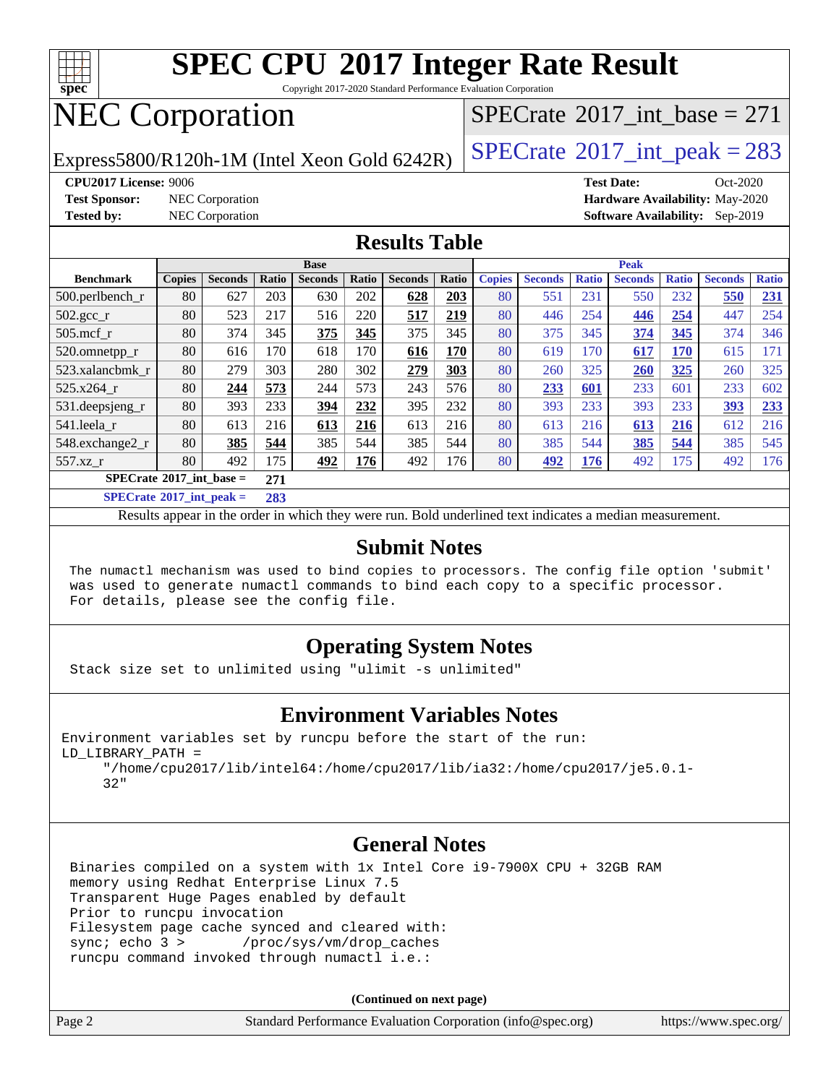

Copyright 2017-2020 Standard Performance Evaluation Corporation

## NEC Corporation

Express5800/R120h-1M (Intel Xeon Gold 6242R)  $\left|$  [SPECrate](http://www.spec.org/auto/cpu2017/Docs/result-fields.html#SPECrate2017intpeak)<sup>®</sup>[2017\\_int\\_peak = 2](http://www.spec.org/auto/cpu2017/Docs/result-fields.html#SPECrate2017intpeak)83

 $SPECTate$ <sup>®</sup>[2017\\_int\\_base =](http://www.spec.org/auto/cpu2017/Docs/result-fields.html#SPECrate2017intbase) 271

**[CPU2017 License:](http://www.spec.org/auto/cpu2017/Docs/result-fields.html#CPU2017License)** 9006 **[Test Date:](http://www.spec.org/auto/cpu2017/Docs/result-fields.html#TestDate)** Oct-2020 **[Test Sponsor:](http://www.spec.org/auto/cpu2017/Docs/result-fields.html#TestSponsor)** NEC Corporation **[Hardware Availability:](http://www.spec.org/auto/cpu2017/Docs/result-fields.html#HardwareAvailability)** May-2020 **[Tested by:](http://www.spec.org/auto/cpu2017/Docs/result-fields.html#Testedby)** NEC Corporation **[Software Availability:](http://www.spec.org/auto/cpu2017/Docs/result-fields.html#SoftwareAvailability)** Sep-2019

#### **[Results Table](http://www.spec.org/auto/cpu2017/Docs/result-fields.html#ResultsTable)**

|                                                                     | <b>Base</b>                              |                |       |                |       |                |       |               | <b>Peak</b>    |              |                |              |                |              |
|---------------------------------------------------------------------|------------------------------------------|----------------|-------|----------------|-------|----------------|-------|---------------|----------------|--------------|----------------|--------------|----------------|--------------|
| <b>Benchmark</b>                                                    | <b>Copies</b>                            | <b>Seconds</b> | Ratio | <b>Seconds</b> | Ratio | <b>Seconds</b> | Ratio | <b>Copies</b> | <b>Seconds</b> | <b>Ratio</b> | <b>Seconds</b> | <b>Ratio</b> | <b>Seconds</b> | <b>Ratio</b> |
| 500.perlbench_r                                                     | 80                                       | 627            | 203   | 630            | 202   | 628            | 203   | 80            | 551            | 231          | 550            | 232          | 550            | 231          |
| $502.\text{gcc}_{r}$                                                | 80                                       | 523            | 217   | 516            | 220   | 517            | 219   | 80            | 446            | 254          | 446            | 254          | 447            | 254          |
| $505$ .mcf r                                                        | 80                                       | 374            | 345   | 375            | 345   | 375            | 345   | 80            | 375            | 345          | 374            | 345          | 374            | 346          |
| 520.omnetpp_r                                                       | 80                                       | 616            | 170   | 618            | 170   | 616            | 170   | 80            | 619            | 170          | 617            | <b>170</b>   | 615            | 171          |
| 523.xalancbmk_r                                                     | 80                                       | 279            | 303   | 280            | 302   | 279            | 303   | 80            | 260            | 325          | 260            | 325          | 260            | 325          |
| 525.x264 r                                                          | 80                                       | 244            | 573   | 244            | 573   | 243            | 576   | 80            | 233            | 601          | 233            | 601          | 233            | 602          |
| 531.deepsjeng_r                                                     | 80                                       | 393            | 233   | 394            | 232   | 395            | 232   | 80            | 393            | 233          | 393            | 233          | 393            | 233          |
| 541.leela r                                                         | 80                                       | 613            | 216   | 613            | 216   | 613            | 216   | 80            | 613            | 216          | 613            | 216          | 612            | 216          |
| 548.exchange2_r                                                     | 80                                       | 385            | 544   | 385            | 544   | 385            | 544   | 80            | 385            | 544          | <u>385</u>     | 544          | 385            | 545          |
| 557.xz                                                              | 80                                       | 492            | 175   | 492            | 176   | 492            | 176   | 80            | 492            | 176          | 492            | 175          | 492            | 176          |
|                                                                     | $SPECrate^{\circ}2017$ int base =<br>271 |                |       |                |       |                |       |               |                |              |                |              |                |              |
| $\mathbb{C}\mathbb{D}\Gamma\Gamma_{\text{rot}}\sim 2017$ int nook – |                                          |                | 202   |                |       |                |       |               |                |              |                |              |                |              |

**[SPECrate](http://www.spec.org/auto/cpu2017/Docs/result-fields.html#SPECrate2017intpeak)[2017\\_int\\_peak =](http://www.spec.org/auto/cpu2017/Docs/result-fields.html#SPECrate2017intpeak) 283**

Results appear in the [order in which they were run](http://www.spec.org/auto/cpu2017/Docs/result-fields.html#RunOrder). Bold underlined text [indicates a median measurement](http://www.spec.org/auto/cpu2017/Docs/result-fields.html#Median).

#### **[Submit Notes](http://www.spec.org/auto/cpu2017/Docs/result-fields.html#SubmitNotes)**

 The numactl mechanism was used to bind copies to processors. The config file option 'submit' was used to generate numactl commands to bind each copy to a specific processor. For details, please see the config file.

### **[Operating System Notes](http://www.spec.org/auto/cpu2017/Docs/result-fields.html#OperatingSystemNotes)**

Stack size set to unlimited using "ulimit -s unlimited"

#### **[Environment Variables Notes](http://www.spec.org/auto/cpu2017/Docs/result-fields.html#EnvironmentVariablesNotes)**

Environment variables set by runcpu before the start of the run: LD\_LIBRARY\_PATH =

 "/home/cpu2017/lib/intel64:/home/cpu2017/lib/ia32:/home/cpu2017/je5.0.1- 32"

#### **[General Notes](http://www.spec.org/auto/cpu2017/Docs/result-fields.html#GeneralNotes)**

 Binaries compiled on a system with 1x Intel Core i9-7900X CPU + 32GB RAM memory using Redhat Enterprise Linux 7.5 Transparent Huge Pages enabled by default Prior to runcpu invocation Filesystem page cache synced and cleared with: sync; echo 3 > /proc/sys/vm/drop\_caches runcpu command invoked through numactl i.e.:

**(Continued on next page)**

| Page 2 | Standard Performance Evaluation Corporation (info@spec.org) | https://www.spec.org/ |
|--------|-------------------------------------------------------------|-----------------------|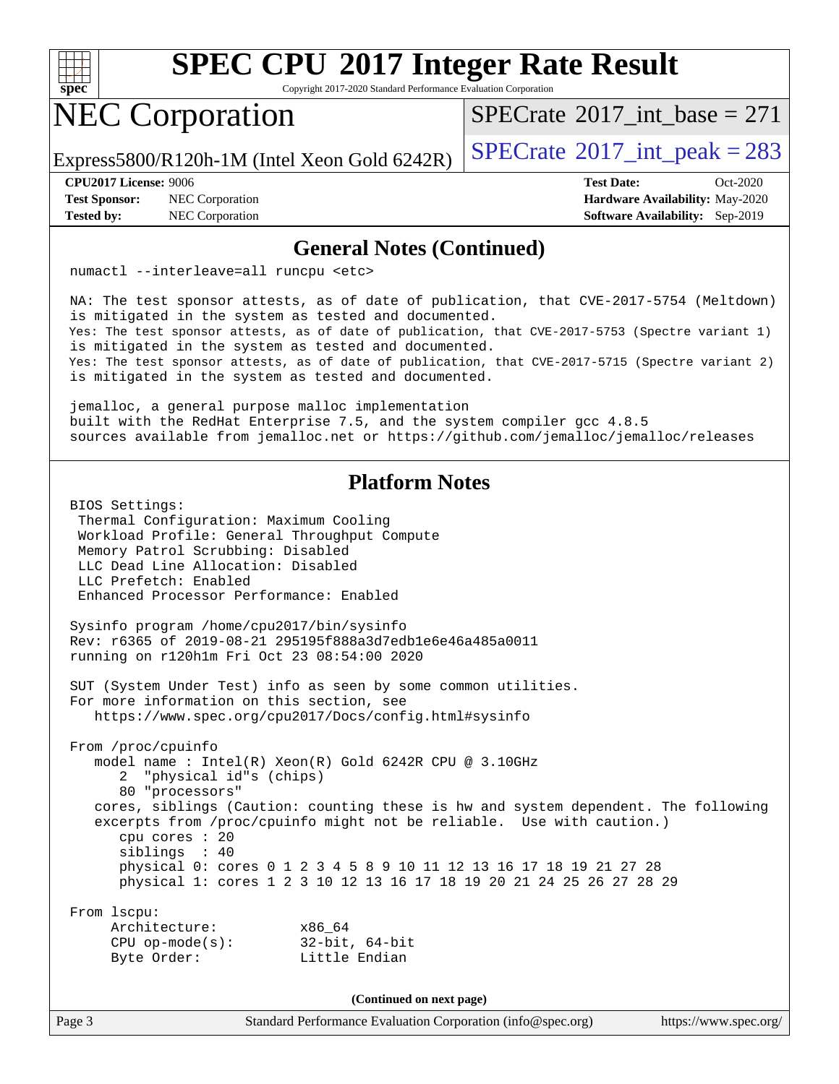

Copyright 2017-2020 Standard Performance Evaluation Corporation

### NEC Corporation

 $SPECTate$ <sup>®</sup>[2017\\_int\\_base =](http://www.spec.org/auto/cpu2017/Docs/result-fields.html#SPECrate2017intbase) 271

Express5800/R120h-1M (Intel Xeon Gold 6242R)  $\left|$  [SPECrate](http://www.spec.org/auto/cpu2017/Docs/result-fields.html#SPECrate2017intpeak)<sup>®</sup>[2017\\_int\\_peak = 2](http://www.spec.org/auto/cpu2017/Docs/result-fields.html#SPECrate2017intpeak)83

**[Test Sponsor:](http://www.spec.org/auto/cpu2017/Docs/result-fields.html#TestSponsor)** NEC Corporation **[Hardware Availability:](http://www.spec.org/auto/cpu2017/Docs/result-fields.html#HardwareAvailability)** May-2020

**[CPU2017 License:](http://www.spec.org/auto/cpu2017/Docs/result-fields.html#CPU2017License)** 9006 **[Test Date:](http://www.spec.org/auto/cpu2017/Docs/result-fields.html#TestDate)** Oct-2020 **[Tested by:](http://www.spec.org/auto/cpu2017/Docs/result-fields.html#Testedby)** NEC Corporation **[Software Availability:](http://www.spec.org/auto/cpu2017/Docs/result-fields.html#SoftwareAvailability)** Sep-2019

#### **[General Notes \(Continued\)](http://www.spec.org/auto/cpu2017/Docs/result-fields.html#GeneralNotes)**

numactl --interleave=all runcpu <etc>

 NA: The test sponsor attests, as of date of publication, that CVE-2017-5754 (Meltdown) is mitigated in the system as tested and documented. Yes: The test sponsor attests, as of date of publication, that CVE-2017-5753 (Spectre variant 1) is mitigated in the system as tested and documented. Yes: The test sponsor attests, as of date of publication, that CVE-2017-5715 (Spectre variant 2) is mitigated in the system as tested and documented.

 jemalloc, a general purpose malloc implementation built with the RedHat Enterprise 7.5, and the system compiler gcc 4.8.5 sources available from jemalloc.net or<https://github.com/jemalloc/jemalloc/releases>

### **[Platform Notes](http://www.spec.org/auto/cpu2017/Docs/result-fields.html#PlatformNotes)**

 BIOS Settings: Thermal Configuration: Maximum Cooling Workload Profile: General Throughput Compute Memory Patrol Scrubbing: Disabled LLC Dead Line Allocation: Disabled LLC Prefetch: Enabled Enhanced Processor Performance: Enabled Sysinfo program /home/cpu2017/bin/sysinfo Rev: r6365 of 2019-08-21 295195f888a3d7edb1e6e46a485a0011 running on r120h1m Fri Oct 23 08:54:00 2020 SUT (System Under Test) info as seen by some common utilities. For more information on this section, see <https://www.spec.org/cpu2017/Docs/config.html#sysinfo> From /proc/cpuinfo model name : Intel(R) Xeon(R) Gold 6242R CPU @ 3.10GHz 2 "physical id"s (chips) 80 "processors" cores, siblings (Caution: counting these is hw and system dependent. The following excerpts from /proc/cpuinfo might not be reliable. Use with caution.) cpu cores : 20 siblings : 40 physical 0: cores 0 1 2 3 4 5 8 9 10 11 12 13 16 17 18 19 21 27 28 physical 1: cores 1 2 3 10 12 13 16 17 18 19 20 21 24 25 26 27 28 29 From lscpu: Architecture: x86\_64 CPU op-mode(s): 32-bit, 64-bit Byte Order: Little Endian **(Continued on next page)**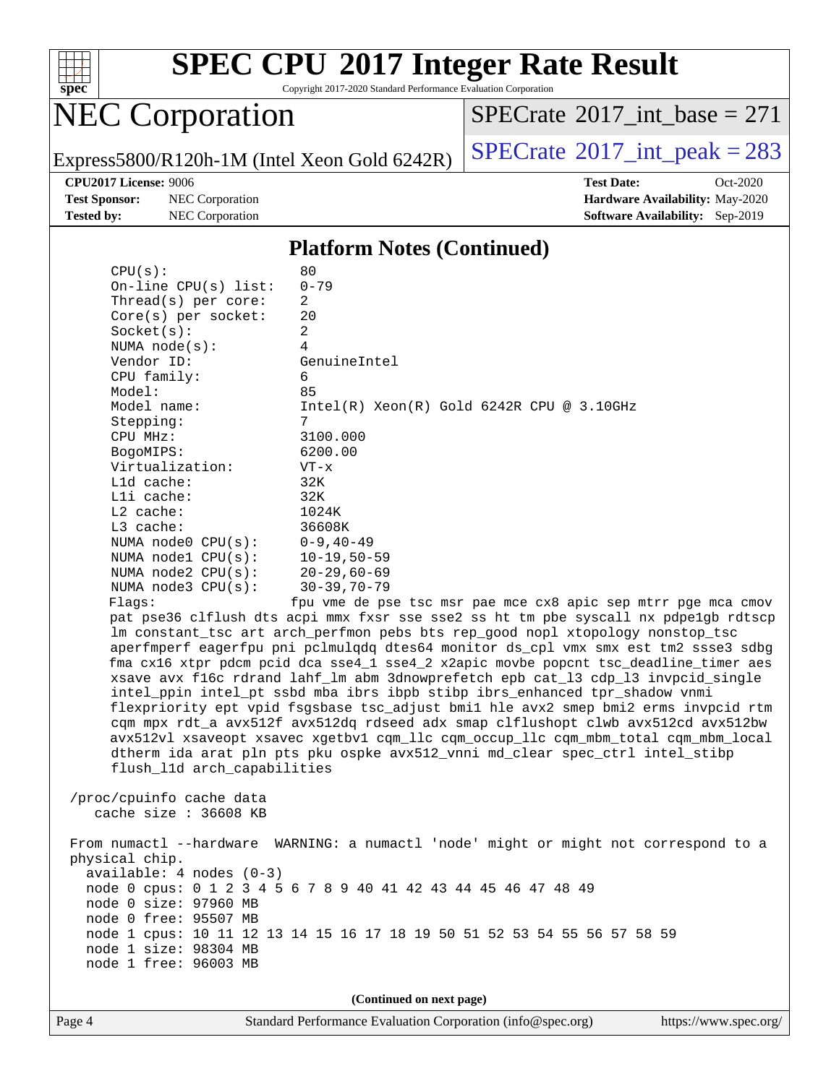

Copyright 2017-2020 Standard Performance Evaluation Corporation

## NEC Corporation

 $SPECrate$ <sup>®</sup>[2017\\_int\\_base =](http://www.spec.org/auto/cpu2017/Docs/result-fields.html#SPECrate2017intbase) 271

Express5800/R120h-1M (Intel Xeon Gold 6242R)  $\left|$  [SPECrate](http://www.spec.org/auto/cpu2017/Docs/result-fields.html#SPECrate2017intpeak)<sup>®</sup>[2017\\_int\\_peak = 2](http://www.spec.org/auto/cpu2017/Docs/result-fields.html#SPECrate2017intpeak)83

**[Test Sponsor:](http://www.spec.org/auto/cpu2017/Docs/result-fields.html#TestSponsor)** NEC Corporation **[Hardware Availability:](http://www.spec.org/auto/cpu2017/Docs/result-fields.html#HardwareAvailability)** May-2020 **[Tested by:](http://www.spec.org/auto/cpu2017/Docs/result-fields.html#Testedby)** NEC Corporation **[Software Availability:](http://www.spec.org/auto/cpu2017/Docs/result-fields.html#SoftwareAvailability)** Sep-2019

**[CPU2017 License:](http://www.spec.org/auto/cpu2017/Docs/result-fields.html#CPU2017License)** 9006 **[Test Date:](http://www.spec.org/auto/cpu2017/Docs/result-fields.html#TestDate)** Oct-2020

#### **[Platform Notes \(Continued\)](http://www.spec.org/auto/cpu2017/Docs/result-fields.html#PlatformNotes)**

| CPU(s):                     | 80                                                                                   |
|-----------------------------|--------------------------------------------------------------------------------------|
| On-line $CPU(s)$ list:      | $0 - 79$                                                                             |
| Thread(s) per core:         | 2                                                                                    |
| $Core(s)$ per socket:       | 20                                                                                   |
| Socket(s):                  | $\overline{2}$                                                                       |
| NUMA $node(s):$             | 4                                                                                    |
| Vendor ID:                  | GenuineIntel                                                                         |
| CPU family:                 | 6                                                                                    |
| Model:                      | 85                                                                                   |
| Model name:                 | $Intel(R)$ Xeon $(R)$ Gold 6242R CPU @ 3.10GHz                                       |
| Stepping:                   | 7                                                                                    |
| CPU MHz:                    | 3100.000                                                                             |
| BogoMIPS:                   | 6200.00                                                                              |
| Virtualization:             | $VT - x$                                                                             |
| $L1d$ cache:                | 32K                                                                                  |
| Lli cache:                  | 32K                                                                                  |
| $L2$ cache:                 | 1024K                                                                                |
| $L3$ cache:                 | 36608K                                                                               |
| NUMA node0 CPU(s):          | $0 - 9, 40 - 49$                                                                     |
| NUMA nodel $CPU(s):$        | $10 - 19, 50 - 59$                                                                   |
| NUMA $node2$ $CPU(s)$ :     | $20 - 29,60 - 69$                                                                    |
| NUMA $node3$ $CPU(s):$      | $30 - 39, 70 - 79$                                                                   |
| Flags:                      | fpu vme de pse tsc msr pae mce cx8 apic sep mtrr pge mca cmov                        |
|                             | pat pse36 clflush dts acpi mmx fxsr sse sse2 ss ht tm pbe syscall nx pdpelgb rdtscp  |
|                             | lm constant_tsc art arch_perfmon pebs bts rep_good nopl xtopology nonstop_tsc        |
|                             | aperfmperf eagerfpu pni pclmulqdq dtes64 monitor ds_cpl vmx smx est tm2 ssse3 sdbg   |
|                             | fma cx16 xtpr pdcm pcid dca sse4_1 sse4_2 x2apic movbe popcnt tsc_deadline_timer aes |
|                             | xsave avx f16c rdrand lahf_lm abm 3dnowprefetch epb cat_13 cdp_13 invpcid_single     |
|                             | intel_ppin intel_pt ssbd mba ibrs ibpb stibp ibrs_enhanced tpr_shadow vnmi           |
|                             | flexpriority ept vpid fsgsbase tsc_adjust bmil hle avx2 smep bmi2 erms invpcid rtm   |
|                             | cqm mpx rdt_a avx512f avx512dq rdseed adx smap clflushopt clwb avx512cd avx512bw     |
|                             | avx512vl xsaveopt xsavec xgetbvl cqm_llc cqm_occup_llc cqm_mbm_total cqm_mbm_local   |
|                             | dtherm ida arat pln pts pku ospke avx512_vnni md_clear spec_ctrl intel_stibp         |
| flush_l1d arch_capabilities |                                                                                      |
|                             |                                                                                      |
| /proc/cpuinfo cache data    |                                                                                      |
| cache size : 36608 KB       |                                                                                      |
|                             |                                                                                      |
|                             | From numactl --hardware WARNING: a numactl 'node' might or might not correspond to a |
| physical chip.              |                                                                                      |
| $available: 4 nodes (0-3)$  |                                                                                      |
| node 0 size: 97960 MB       | node 0 cpus: 0 1 2 3 4 5 6 7 8 9 40 41 42 43 44 45 46 47 48 49                       |
| node 0 free: 95507 MB       |                                                                                      |
|                             | node 1 cpus: 10 11 12 13 14 15 16 17 18 19 50 51 52 53 54 55 56 57 58 59             |
| node 1 size: 98304 MB       |                                                                                      |
| node 1 free: 96003 MB       |                                                                                      |
|                             |                                                                                      |
|                             |                                                                                      |
|                             | (Continued on next page)                                                             |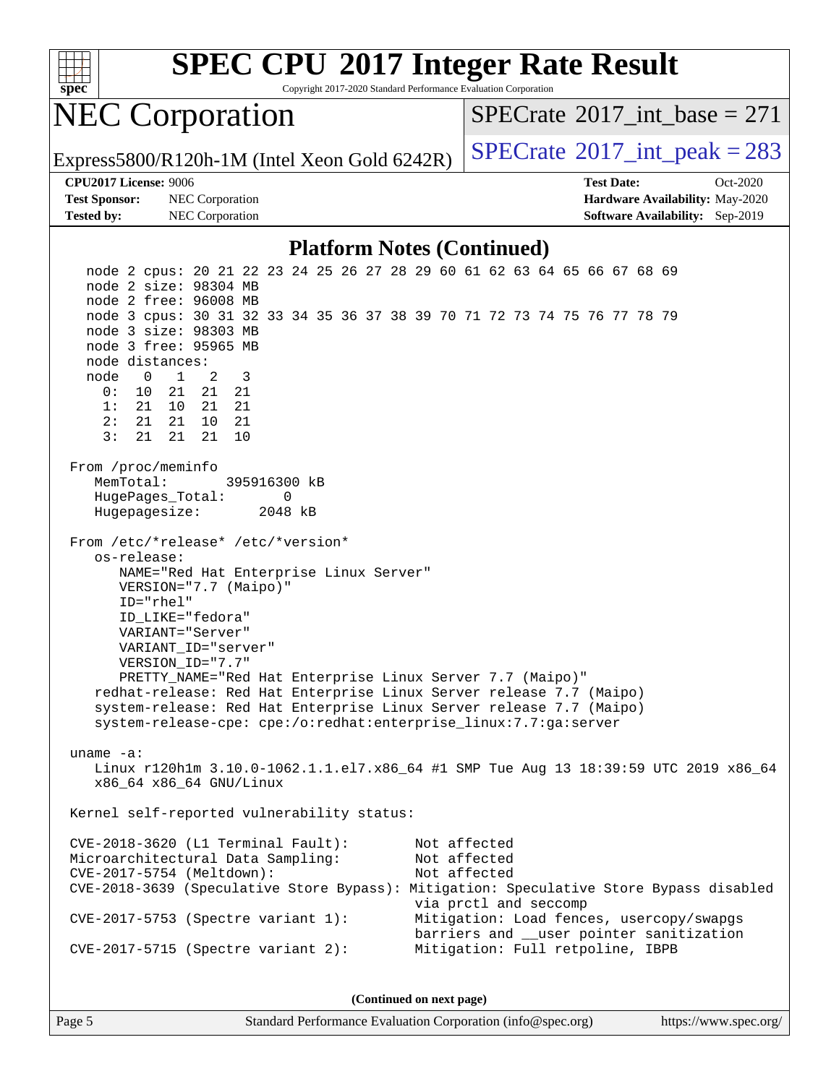

Copyright 2017-2020 Standard Performance Evaluation Corporation

### NEC Corporation

 $SPECTate$ <sup>®</sup>[2017\\_int\\_base =](http://www.spec.org/auto/cpu2017/Docs/result-fields.html#SPECrate2017intbase) 271

Express5800/R120h-1M (Intel Xeon Gold 6242R)  $\big|$  [SPECrate](http://www.spec.org/auto/cpu2017/Docs/result-fields.html#SPECrate2017intpeak)<sup>®</sup>[2017\\_int\\_peak = 2](http://www.spec.org/auto/cpu2017/Docs/result-fields.html#SPECrate2017intpeak)83

**[Test Sponsor:](http://www.spec.org/auto/cpu2017/Docs/result-fields.html#TestSponsor)** NEC Corporation **[Hardware Availability:](http://www.spec.org/auto/cpu2017/Docs/result-fields.html#HardwareAvailability)** May-2020 **[Tested by:](http://www.spec.org/auto/cpu2017/Docs/result-fields.html#Testedby)** NEC Corporation **[Software Availability:](http://www.spec.org/auto/cpu2017/Docs/result-fields.html#SoftwareAvailability)** Sep-2019

**[CPU2017 License:](http://www.spec.org/auto/cpu2017/Docs/result-fields.html#CPU2017License)** 9006 **[Test Date:](http://www.spec.org/auto/cpu2017/Docs/result-fields.html#TestDate)** Oct-2020

#### **[Platform Notes \(Continued\)](http://www.spec.org/auto/cpu2017/Docs/result-fields.html#PlatformNotes)**

 node 2 cpus: 20 21 22 23 24 25 26 27 28 29 60 61 62 63 64 65 66 67 68 69 node 2 size: 98304 MB node 2 free: 96008 MB node 3 cpus: 30 31 32 33 34 35 36 37 38 39 70 71 72 73 74 75 76 77 78 79 node 3 size: 98303 MB node 3 free: 95965 MB node distances: node 0 1 2 3 0: 10 21 21 21 1: 21 10 21 21 2: 21 21 10 21 3: 21 21 21 10 From /proc/meminfo MemTotal: 395916300 kB HugePages\_Total: 0 Hugepagesize: 2048 kB From /etc/\*release\* /etc/\*version\* os-release: NAME="Red Hat Enterprise Linux Server" VERSION="7.7 (Maipo)" ID="rhel" ID\_LIKE="fedora" VARIANT="Server" VARIANT\_ID="server" VERSION\_ID="7.7" PRETTY\_NAME="Red Hat Enterprise Linux Server 7.7 (Maipo)" redhat-release: Red Hat Enterprise Linux Server release 7.7 (Maipo) system-release: Red Hat Enterprise Linux Server release 7.7 (Maipo) system-release-cpe: cpe:/o:redhat:enterprise\_linux:7.7:ga:server uname -a: Linux r120h1m 3.10.0-1062.1.1.el7.x86\_64 #1 SMP Tue Aug 13 18:39:59 UTC 2019 x86\_64 x86\_64 x86\_64 GNU/Linux Kernel self-reported vulnerability status: CVE-2018-3620 (L1 Terminal Fault): Not affected Microarchitectural Data Sampling: CVE-2017-5754 (Meltdown): Not affected CVE-2018-3639 (Speculative Store Bypass): Mitigation: Speculative Store Bypass disabled via prctl and seccomp CVE-2017-5753 (Spectre variant 1): Mitigation: Load fences, usercopy/swapgs barriers and \_\_user pointer sanitization CVE-2017-5715 (Spectre variant 2): Mitigation: Full retpoline, IBPB

**(Continued on next page)**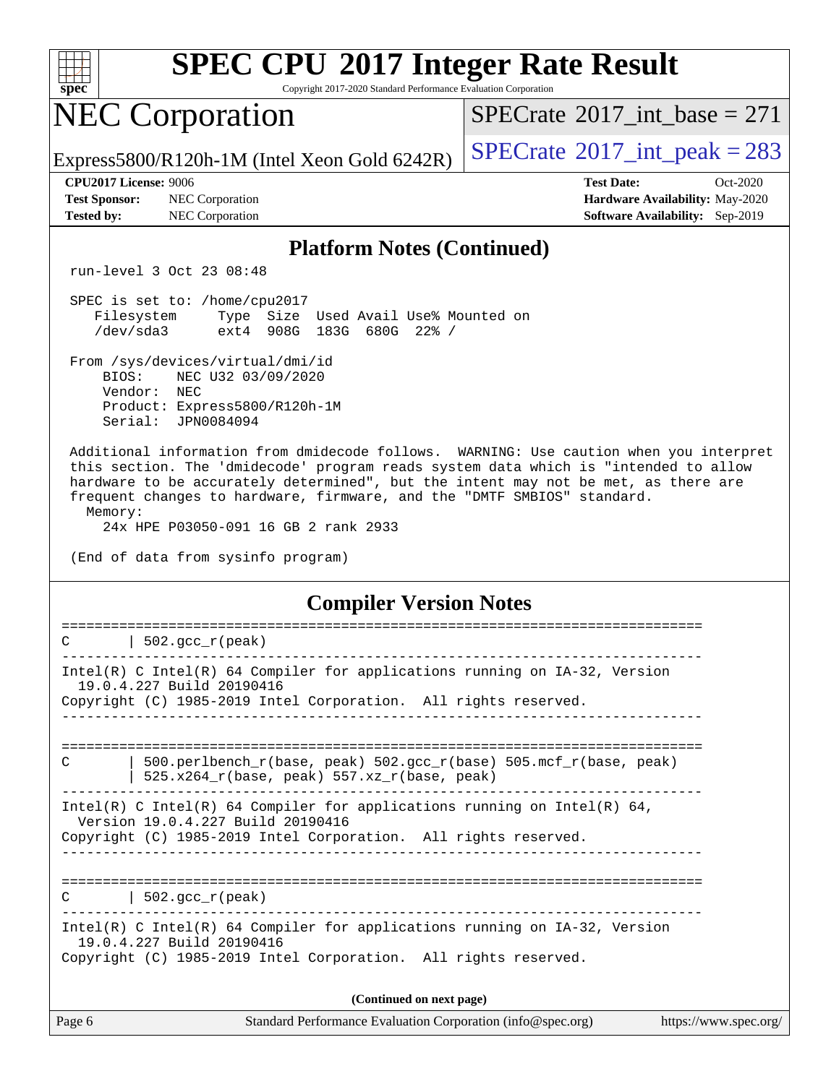| ч<br>æ<br>Ü.<br>L<br>× |  |  |  |  |  |
|------------------------|--|--|--|--|--|

Copyright 2017-2020 Standard Performance Evaluation Corporation

# NEC Corporation

 $SPECTate$ <sup>®</sup>[2017\\_int\\_base =](http://www.spec.org/auto/cpu2017/Docs/result-fields.html#SPECrate2017intbase) 271

Express5800/R120h-1M (Intel Xeon Gold 6242R)  $\left|$  [SPECrate](http://www.spec.org/auto/cpu2017/Docs/result-fields.html#SPECrate2017intpeak)<sup>®</sup>[2017\\_int\\_peak = 2](http://www.spec.org/auto/cpu2017/Docs/result-fields.html#SPECrate2017intpeak)83

**[Tested by:](http://www.spec.org/auto/cpu2017/Docs/result-fields.html#Testedby)** NEC Corporation **[Software Availability:](http://www.spec.org/auto/cpu2017/Docs/result-fields.html#SoftwareAvailability)** Sep-2019

**[CPU2017 License:](http://www.spec.org/auto/cpu2017/Docs/result-fields.html#CPU2017License)** 9006 **[Test Date:](http://www.spec.org/auto/cpu2017/Docs/result-fields.html#TestDate)** Oct-2020 **[Test Sponsor:](http://www.spec.org/auto/cpu2017/Docs/result-fields.html#TestSponsor)** NEC Corporation **[Hardware Availability:](http://www.spec.org/auto/cpu2017/Docs/result-fields.html#HardwareAvailability)** May-2020

#### **[Platform Notes \(Continued\)](http://www.spec.org/auto/cpu2017/Docs/result-fields.html#PlatformNotes)**

run-level 3 Oct 23 08:48

 SPEC is set to: /home/cpu2017 Filesystem Type Size Used Avail Use% Mounted on /dev/sda3 ext4 908G 183G 680G 22% /

 From /sys/devices/virtual/dmi/id BIOS: NEC U32 03/09/2020 Vendor: NEC Product: Express5800/R120h-1M Serial: JPN0084094

 Additional information from dmidecode follows. WARNING: Use caution when you interpret this section. The 'dmidecode' program reads system data which is "intended to allow hardware to be accurately determined", but the intent may not be met, as there are frequent changes to hardware, firmware, and the "DMTF SMBIOS" standard. Memory:

24x HPE P03050-091 16 GB 2 rank 2933

(End of data from sysinfo program)

**[Compiler Version Notes](http://www.spec.org/auto/cpu2017/Docs/result-fields.html#CompilerVersionNotes)**

| Page 6 | Standard Performance Evaluation Corporation (info@spec.org)                                                                                                                      | https://www.spec.org/ |
|--------|----------------------------------------------------------------------------------------------------------------------------------------------------------------------------------|-----------------------|
|        | (Continued on next page)                                                                                                                                                         |                       |
|        | Intel(R) C Intel(R) 64 Compiler for applications running on $IA-32$ , Version<br>19.0.4.227 Build 20190416<br>Copyright (C) 1985-2019 Intel Corporation. All rights reserved.    |                       |
|        | $C$   502.gcc_r(peak)                                                                                                                                                            |                       |
|        | Intel(R) C Intel(R) 64 Compiler for applications running on Intel(R) 64,<br>Version 19.0.4.227 Build 20190416<br>Copyright (C) 1985-2019 Intel Corporation. All rights reserved. |                       |
| C      | 500.perlbench r(base, peak) 502.gcc r(base) 505.mcf r(base, peak)<br>525.x264_r(base, peak) 557.xz_r(base, peak)                                                                 |                       |
|        |                                                                                                                                                                                  |                       |
|        | Intel(R) C Intel(R) 64 Compiler for applications running on $IA-32$ , Version<br>19.0.4.227 Build 20190416<br>Copyright (C) 1985-2019 Intel Corporation. All rights reserved.    |                       |
| C      | $\vert$ 502.gcc_r(peak)                                                                                                                                                          |                       |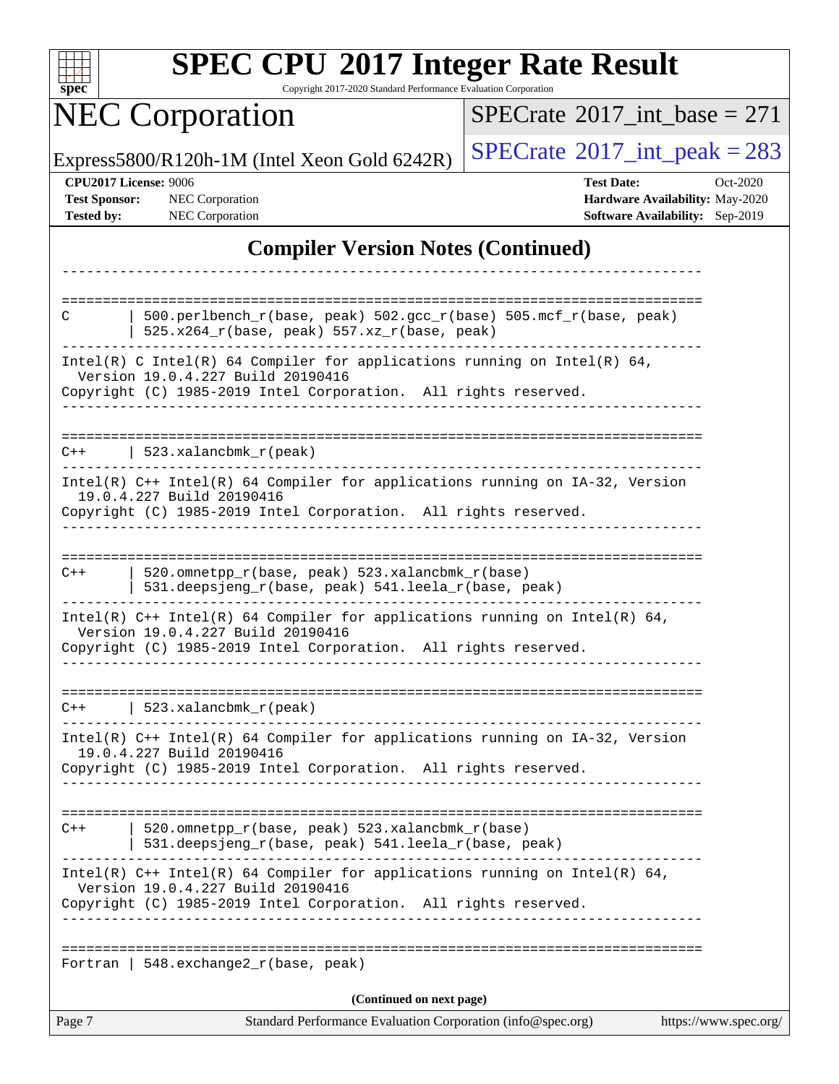| S<br>e<br>U<br>U |  |  |  |  |
|------------------|--|--|--|--|

Copyright 2017-2020 Standard Performance Evaluation Corporation

## **NEC Corporation**

 $SPECTate$ <sup>®</sup>[2017\\_int\\_base =](http://www.spec.org/auto/cpu2017/Docs/result-fields.html#SPECrate2017intbase) 271

Express5800/R120h-1M (Intel Xeon Gold 6242R)  $\left|$  [SPECrate](http://www.spec.org/auto/cpu2017/Docs/result-fields.html#SPECrate2017intpeak)<sup>®</sup>[2017\\_int\\_peak = 2](http://www.spec.org/auto/cpu2017/Docs/result-fields.html#SPECrate2017intpeak)83

**[CPU2017 License:](http://www.spec.org/auto/cpu2017/Docs/result-fields.html#CPU2017License)** 9006 **[Test Date:](http://www.spec.org/auto/cpu2017/Docs/result-fields.html#TestDate)** Oct-2020 **[Test Sponsor:](http://www.spec.org/auto/cpu2017/Docs/result-fields.html#TestSponsor)** NEC Corporation **[Hardware Availability:](http://www.spec.org/auto/cpu2017/Docs/result-fields.html#HardwareAvailability)** May-2020 **[Tested by:](http://www.spec.org/auto/cpu2017/Docs/result-fields.html#Testedby)** NEC Corporation **[Software Availability:](http://www.spec.org/auto/cpu2017/Docs/result-fields.html#SoftwareAvailability)** Sep-2019

### **[Compiler Version Notes \(Continued\)](http://www.spec.org/auto/cpu2017/Docs/result-fields.html#CompilerVersionNotes)**

| 520.omnetpp_r(base, peak) 523.xalancbmk_r(base)<br>531.deepsjeng_r(base, peak) 541.leela_r(base, peak)<br>Intel(R) $C++$ Intel(R) 64 Compiler for applications running on Intel(R) 64,<br>Version 19.0.4.227 Build 20190416<br>Copyright (C) 1985-2019 Intel Corporation. All rights reserved.<br>  $548.$ exchange $2_r$ (base, peak)<br>(Continued on next page) |
|--------------------------------------------------------------------------------------------------------------------------------------------------------------------------------------------------------------------------------------------------------------------------------------------------------------------------------------------------------------------|
|                                                                                                                                                                                                                                                                                                                                                                    |
|                                                                                                                                                                                                                                                                                                                                                                    |
|                                                                                                                                                                                                                                                                                                                                                                    |
|                                                                                                                                                                                                                                                                                                                                                                    |
|                                                                                                                                                                                                                                                                                                                                                                    |
| $Intel(R)$ C++ Intel(R) 64 Compiler for applications running on IA-32, Version<br>19.0.4.227 Build 20190416<br>Copyright (C) 1985-2019 Intel Corporation. All rights reserved.                                                                                                                                                                                     |
| $C++$   523.xalancbmk_r(peak)                                                                                                                                                                                                                                                                                                                                      |
| Intel(R) $C++$ Intel(R) 64 Compiler for applications running on Intel(R) 64,<br>Version 19.0.4.227 Build 20190416<br>Copyright (C) 1985-2019 Intel Corporation. All rights reserved.                                                                                                                                                                               |
| 520.omnetpp_r(base, peak) 523.xalancbmk_r(base)<br>531.deepsjeng_r(base, peak) 541.leela_r(base, peak)                                                                                                                                                                                                                                                             |
| 19.0.4.227 Build 20190416<br>Copyright (C) 1985-2019 Intel Corporation. All rights reserved.<br>-------------                                                                                                                                                                                                                                                      |
| Intel(R) C++ Intel(R) 64 Compiler for applications running on IA-32, Version                                                                                                                                                                                                                                                                                       |
| $C++$   523.xalancbmk_r(peak)                                                                                                                                                                                                                                                                                                                                      |
| Intel(R) C Intel(R) 64 Compiler for applications running on Intel(R) 64,<br>Version 19.0.4.227 Build 20190416<br>Copyright (C) 1985-2019 Intel Corporation. All rights reserved.<br>ب کا کا کا کا کا کا                                                                                                                                                            |
| $525.x264_r(base, peak) 557.xz_r(base, peak)$                                                                                                                                                                                                                                                                                                                      |
| 500.perlbench_r(base, peak) 502.gcc_r(base) 505.mcf_r(base, peak)                                                                                                                                                                                                                                                                                                  |
|                                                                                                                                                                                                                                                                                                                                                                    |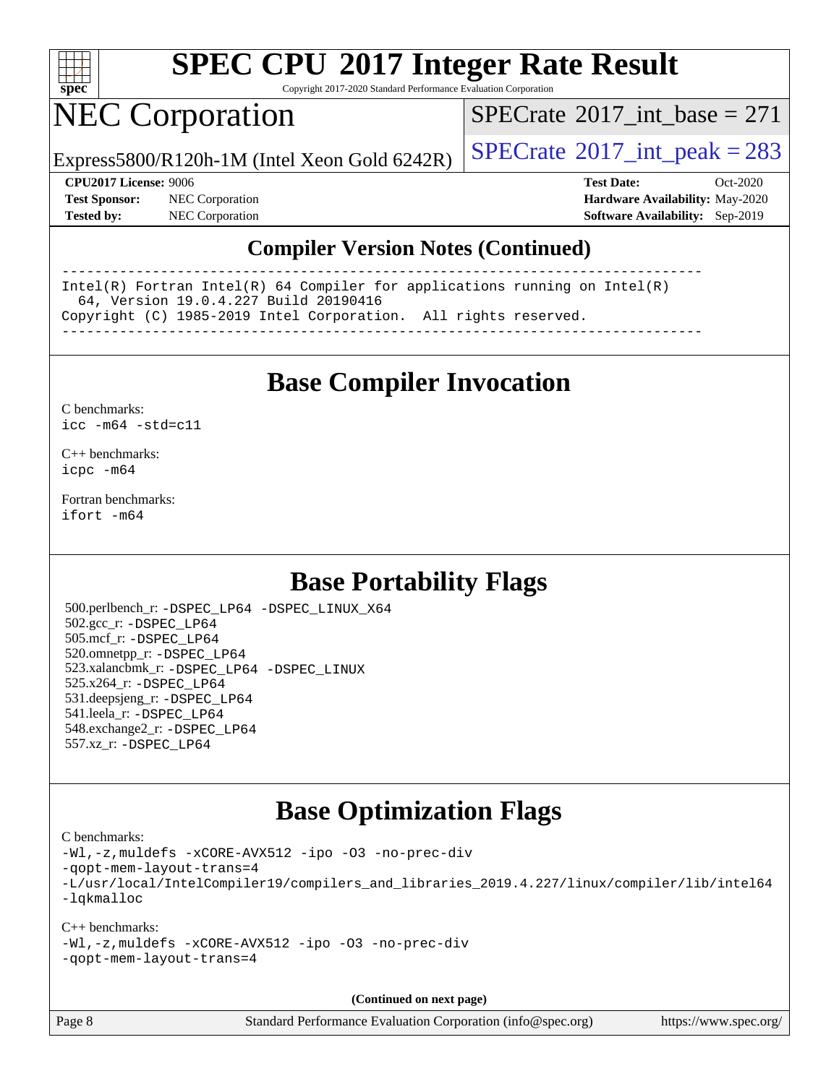

Copyright 2017-2020 Standard Performance Evaluation Corporation

### NEC Corporation

 $SPECTate$ <sup>®</sup>[2017\\_int\\_base =](http://www.spec.org/auto/cpu2017/Docs/result-fields.html#SPECrate2017intbase) 271

Express5800/R120h-1M (Intel Xeon Gold 6242R)  $\big|$  [SPECrate](http://www.spec.org/auto/cpu2017/Docs/result-fields.html#SPECrate2017intpeak)<sup>®</sup>[2017\\_int\\_peak = 2](http://www.spec.org/auto/cpu2017/Docs/result-fields.html#SPECrate2017intpeak)83

**[Test Sponsor:](http://www.spec.org/auto/cpu2017/Docs/result-fields.html#TestSponsor)** NEC Corporation **[Hardware Availability:](http://www.spec.org/auto/cpu2017/Docs/result-fields.html#HardwareAvailability)** May-2020

**[CPU2017 License:](http://www.spec.org/auto/cpu2017/Docs/result-fields.html#CPU2017License)** 9006 **[Test Date:](http://www.spec.org/auto/cpu2017/Docs/result-fields.html#TestDate)** Oct-2020 **[Tested by:](http://www.spec.org/auto/cpu2017/Docs/result-fields.html#Testedby)** NEC Corporation **[Software Availability:](http://www.spec.org/auto/cpu2017/Docs/result-fields.html#SoftwareAvailability)** Sep-2019

#### **[Compiler Version Notes \(Continued\)](http://www.spec.org/auto/cpu2017/Docs/result-fields.html#CompilerVersionNotes)**

------------------------------------------------------------------------------ Intel(R) Fortran Intel(R) 64 Compiler for applications running on Intel(R) 64, Version 19.0.4.227 Build 20190416 Copyright (C) 1985-2019 Intel Corporation. All rights reserved. ------------------------------------------------------------------------------

**[Base Compiler Invocation](http://www.spec.org/auto/cpu2017/Docs/result-fields.html#BaseCompilerInvocation)**

[C benchmarks](http://www.spec.org/auto/cpu2017/Docs/result-fields.html#Cbenchmarks): [icc -m64 -std=c11](http://www.spec.org/cpu2017/results/res2020q4/cpu2017-20201026-24271.flags.html#user_CCbase_intel_icc_64bit_c11_33ee0cdaae7deeeab2a9725423ba97205ce30f63b9926c2519791662299b76a0318f32ddfffdc46587804de3178b4f9328c46fa7c2b0cd779d7a61945c91cd35)

[C++ benchmarks:](http://www.spec.org/auto/cpu2017/Docs/result-fields.html#CXXbenchmarks) [icpc -m64](http://www.spec.org/cpu2017/results/res2020q4/cpu2017-20201026-24271.flags.html#user_CXXbase_intel_icpc_64bit_4ecb2543ae3f1412ef961e0650ca070fec7b7afdcd6ed48761b84423119d1bf6bdf5cad15b44d48e7256388bc77273b966e5eb805aefd121eb22e9299b2ec9d9)

[Fortran benchmarks](http://www.spec.org/auto/cpu2017/Docs/result-fields.html#Fortranbenchmarks): [ifort -m64](http://www.spec.org/cpu2017/results/res2020q4/cpu2017-20201026-24271.flags.html#user_FCbase_intel_ifort_64bit_24f2bb282fbaeffd6157abe4f878425411749daecae9a33200eee2bee2fe76f3b89351d69a8130dd5949958ce389cf37ff59a95e7a40d588e8d3a57e0c3fd751)

### **[Base Portability Flags](http://www.spec.org/auto/cpu2017/Docs/result-fields.html#BasePortabilityFlags)**

 500.perlbench\_r: [-DSPEC\\_LP64](http://www.spec.org/cpu2017/results/res2020q4/cpu2017-20201026-24271.flags.html#b500.perlbench_r_basePORTABILITY_DSPEC_LP64) [-DSPEC\\_LINUX\\_X64](http://www.spec.org/cpu2017/results/res2020q4/cpu2017-20201026-24271.flags.html#b500.perlbench_r_baseCPORTABILITY_DSPEC_LINUX_X64) 502.gcc\_r: [-DSPEC\\_LP64](http://www.spec.org/cpu2017/results/res2020q4/cpu2017-20201026-24271.flags.html#suite_basePORTABILITY502_gcc_r_DSPEC_LP64) 505.mcf\_r: [-DSPEC\\_LP64](http://www.spec.org/cpu2017/results/res2020q4/cpu2017-20201026-24271.flags.html#suite_basePORTABILITY505_mcf_r_DSPEC_LP64) 520.omnetpp\_r: [-DSPEC\\_LP64](http://www.spec.org/cpu2017/results/res2020q4/cpu2017-20201026-24271.flags.html#suite_basePORTABILITY520_omnetpp_r_DSPEC_LP64) 523.xalancbmk\_r: [-DSPEC\\_LP64](http://www.spec.org/cpu2017/results/res2020q4/cpu2017-20201026-24271.flags.html#suite_basePORTABILITY523_xalancbmk_r_DSPEC_LP64) [-DSPEC\\_LINUX](http://www.spec.org/cpu2017/results/res2020q4/cpu2017-20201026-24271.flags.html#b523.xalancbmk_r_baseCXXPORTABILITY_DSPEC_LINUX) 525.x264\_r: [-DSPEC\\_LP64](http://www.spec.org/cpu2017/results/res2020q4/cpu2017-20201026-24271.flags.html#suite_basePORTABILITY525_x264_r_DSPEC_LP64) 531.deepsjeng\_r: [-DSPEC\\_LP64](http://www.spec.org/cpu2017/results/res2020q4/cpu2017-20201026-24271.flags.html#suite_basePORTABILITY531_deepsjeng_r_DSPEC_LP64) 541.leela\_r: [-DSPEC\\_LP64](http://www.spec.org/cpu2017/results/res2020q4/cpu2017-20201026-24271.flags.html#suite_basePORTABILITY541_leela_r_DSPEC_LP64) 548.exchange2\_r: [-DSPEC\\_LP64](http://www.spec.org/cpu2017/results/res2020q4/cpu2017-20201026-24271.flags.html#suite_basePORTABILITY548_exchange2_r_DSPEC_LP64) 557.xz\_r: [-DSPEC\\_LP64](http://www.spec.org/cpu2017/results/res2020q4/cpu2017-20201026-24271.flags.html#suite_basePORTABILITY557_xz_r_DSPEC_LP64)

### **[Base Optimization Flags](http://www.spec.org/auto/cpu2017/Docs/result-fields.html#BaseOptimizationFlags)**

[C benchmarks](http://www.spec.org/auto/cpu2017/Docs/result-fields.html#Cbenchmarks):

[-Wl,-z,muldefs](http://www.spec.org/cpu2017/results/res2020q4/cpu2017-20201026-24271.flags.html#user_CCbase_link_force_multiple1_b4cbdb97b34bdee9ceefcfe54f4c8ea74255f0b02a4b23e853cdb0e18eb4525ac79b5a88067c842dd0ee6996c24547a27a4b99331201badda8798ef8a743f577) [-xCORE-AVX512](http://www.spec.org/cpu2017/results/res2020q4/cpu2017-20201026-24271.flags.html#user_CCbase_f-xCORE-AVX512) [-ipo](http://www.spec.org/cpu2017/results/res2020q4/cpu2017-20201026-24271.flags.html#user_CCbase_f-ipo) [-O3](http://www.spec.org/cpu2017/results/res2020q4/cpu2017-20201026-24271.flags.html#user_CCbase_f-O3) [-no-prec-div](http://www.spec.org/cpu2017/results/res2020q4/cpu2017-20201026-24271.flags.html#user_CCbase_f-no-prec-div) [-qopt-mem-layout-trans=4](http://www.spec.org/cpu2017/results/res2020q4/cpu2017-20201026-24271.flags.html#user_CCbase_f-qopt-mem-layout-trans_fa39e755916c150a61361b7846f310bcdf6f04e385ef281cadf3647acec3f0ae266d1a1d22d972a7087a248fd4e6ca390a3634700869573d231a252c784941a8) [-L/usr/local/IntelCompiler19/compilers\\_and\\_libraries\\_2019.4.227/linux/compiler/lib/intel64](http://www.spec.org/cpu2017/results/res2020q4/cpu2017-20201026-24271.flags.html#user_CCbase_qkmalloc_link_0ffe0cb02c68ef1b443a077c7888c10c67ca0d1dd7138472156f06a085bbad385f78d49618ad55dca9db3b1608e84afc2f69b4003b1d1ca498a9fc1462ccefda) [-lqkmalloc](http://www.spec.org/cpu2017/results/res2020q4/cpu2017-20201026-24271.flags.html#user_CCbase_qkmalloc_link_lib_79a818439969f771c6bc311cfd333c00fc099dad35c030f5aab9dda831713d2015205805422f83de8875488a2991c0a156aaa600e1f9138f8fc37004abc96dc5)

[C++ benchmarks](http://www.spec.org/auto/cpu2017/Docs/result-fields.html#CXXbenchmarks): [-Wl,-z,muldefs](http://www.spec.org/cpu2017/results/res2020q4/cpu2017-20201026-24271.flags.html#user_CXXbase_link_force_multiple1_b4cbdb97b34bdee9ceefcfe54f4c8ea74255f0b02a4b23e853cdb0e18eb4525ac79b5a88067c842dd0ee6996c24547a27a4b99331201badda8798ef8a743f577) [-xCORE-AVX512](http://www.spec.org/cpu2017/results/res2020q4/cpu2017-20201026-24271.flags.html#user_CXXbase_f-xCORE-AVX512) [-ipo](http://www.spec.org/cpu2017/results/res2020q4/cpu2017-20201026-24271.flags.html#user_CXXbase_f-ipo) [-O3](http://www.spec.org/cpu2017/results/res2020q4/cpu2017-20201026-24271.flags.html#user_CXXbase_f-O3) [-no-prec-div](http://www.spec.org/cpu2017/results/res2020q4/cpu2017-20201026-24271.flags.html#user_CXXbase_f-no-prec-div) [-qopt-mem-layout-trans=4](http://www.spec.org/cpu2017/results/res2020q4/cpu2017-20201026-24271.flags.html#user_CXXbase_f-qopt-mem-layout-trans_fa39e755916c150a61361b7846f310bcdf6f04e385ef281cadf3647acec3f0ae266d1a1d22d972a7087a248fd4e6ca390a3634700869573d231a252c784941a8)

**(Continued on next page)**

Page 8 Standard Performance Evaluation Corporation [\(info@spec.org\)](mailto:info@spec.org) <https://www.spec.org/>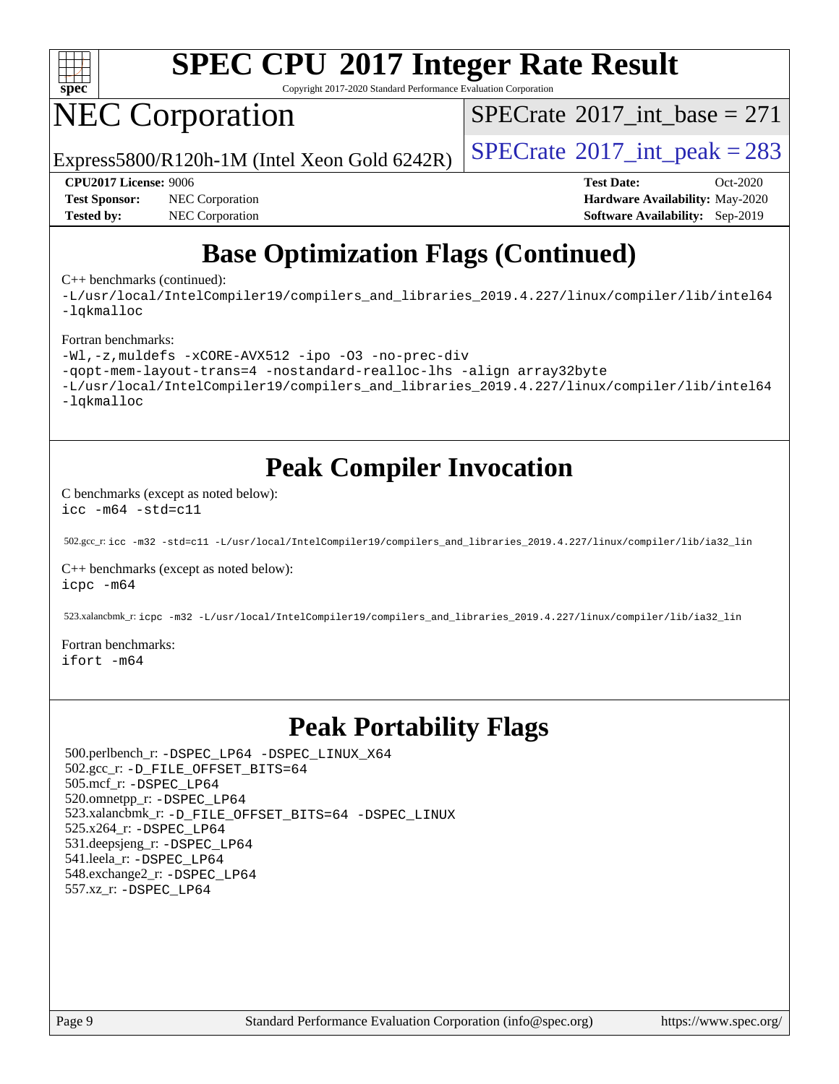

Copyright 2017-2020 Standard Performance Evaluation Corporation

## NEC Corporation

 $SPECTate$ <sup>®</sup>[2017\\_int\\_base =](http://www.spec.org/auto/cpu2017/Docs/result-fields.html#SPECrate2017intbase) 271

Express5800/R120h-1M (Intel Xeon Gold 6242R)  $\left|$  [SPECrate](http://www.spec.org/auto/cpu2017/Docs/result-fields.html#SPECrate2017intpeak)<sup>®</sup>[2017\\_int\\_peak = 2](http://www.spec.org/auto/cpu2017/Docs/result-fields.html#SPECrate2017intpeak)83

**[Test Sponsor:](http://www.spec.org/auto/cpu2017/Docs/result-fields.html#TestSponsor)** NEC Corporation **[Hardware Availability:](http://www.spec.org/auto/cpu2017/Docs/result-fields.html#HardwareAvailability)** May-2020 **[Tested by:](http://www.spec.org/auto/cpu2017/Docs/result-fields.html#Testedby)** NEC Corporation **[Software Availability:](http://www.spec.org/auto/cpu2017/Docs/result-fields.html#SoftwareAvailability)** Sep-2019

**[CPU2017 License:](http://www.spec.org/auto/cpu2017/Docs/result-fields.html#CPU2017License)** 9006 **[Test Date:](http://www.spec.org/auto/cpu2017/Docs/result-fields.html#TestDate)** Oct-2020

### **[Base Optimization Flags \(Continued\)](http://www.spec.org/auto/cpu2017/Docs/result-fields.html#BaseOptimizationFlags)**

[C++ benchmarks](http://www.spec.org/auto/cpu2017/Docs/result-fields.html#CXXbenchmarks) (continued):

[-L/usr/local/IntelCompiler19/compilers\\_and\\_libraries\\_2019.4.227/linux/compiler/lib/intel64](http://www.spec.org/cpu2017/results/res2020q4/cpu2017-20201026-24271.flags.html#user_CXXbase_qkmalloc_link_0ffe0cb02c68ef1b443a077c7888c10c67ca0d1dd7138472156f06a085bbad385f78d49618ad55dca9db3b1608e84afc2f69b4003b1d1ca498a9fc1462ccefda) [-lqkmalloc](http://www.spec.org/cpu2017/results/res2020q4/cpu2017-20201026-24271.flags.html#user_CXXbase_qkmalloc_link_lib_79a818439969f771c6bc311cfd333c00fc099dad35c030f5aab9dda831713d2015205805422f83de8875488a2991c0a156aaa600e1f9138f8fc37004abc96dc5)

#### [Fortran benchmarks:](http://www.spec.org/auto/cpu2017/Docs/result-fields.html#Fortranbenchmarks)

```
-Wl,-z,muldefs -xCORE-AVX512 -ipo -O3 -no-prec-div
-qopt-mem-layout-trans=4 -nostandard-realloc-lhs -align array32byte
-L/usr/local/IntelCompiler19/compilers_and_libraries_2019.4.227/linux/compiler/lib/intel64
-lqkmalloc
```
### **[Peak Compiler Invocation](http://www.spec.org/auto/cpu2017/Docs/result-fields.html#PeakCompilerInvocation)**

[C benchmarks \(except as noted below\)](http://www.spec.org/auto/cpu2017/Docs/result-fields.html#Cbenchmarksexceptasnotedbelow): [icc -m64 -std=c11](http://www.spec.org/cpu2017/results/res2020q4/cpu2017-20201026-24271.flags.html#user_CCpeak_intel_icc_64bit_c11_33ee0cdaae7deeeab2a9725423ba97205ce30f63b9926c2519791662299b76a0318f32ddfffdc46587804de3178b4f9328c46fa7c2b0cd779d7a61945c91cd35)

502.gcc\_r: [icc -m32 -std=c11 -L/usr/local/IntelCompiler19/compilers\\_and\\_libraries\\_2019.4.227/linux/compiler/lib/ia32\\_lin](http://www.spec.org/cpu2017/results/res2020q4/cpu2017-20201026-24271.flags.html#user_peakCCLD502_gcc_r_intel_icc_38a193a897536fa645efb1dc6ac2bea2bddbbe56f130e144a606d1b2649003f27c79f8814020c1f9355cbbf0d7ab0d194a7a979ee1e2a95641bbb8cf571aac7b)

[C++ benchmarks \(except as noted below\)](http://www.spec.org/auto/cpu2017/Docs/result-fields.html#CXXbenchmarksexceptasnotedbelow): [icpc -m64](http://www.spec.org/cpu2017/results/res2020q4/cpu2017-20201026-24271.flags.html#user_CXXpeak_intel_icpc_64bit_4ecb2543ae3f1412ef961e0650ca070fec7b7afdcd6ed48761b84423119d1bf6bdf5cad15b44d48e7256388bc77273b966e5eb805aefd121eb22e9299b2ec9d9)

523.xalancbmk\_r: [icpc -m32 -L/usr/local/IntelCompiler19/compilers\\_and\\_libraries\\_2019.4.227/linux/compiler/lib/ia32\\_lin](http://www.spec.org/cpu2017/results/res2020q4/cpu2017-20201026-24271.flags.html#user_peakCXXLD523_xalancbmk_r_intel_icpc_840f965b38320ad10acba6032d6ca4c816e722c432c250f3408feae347068ba449f694544a48cf12cd3bde3495e328e6747ab0f629c2925d3062e2ee144af951)

[Fortran benchmarks](http://www.spec.org/auto/cpu2017/Docs/result-fields.html#Fortranbenchmarks): [ifort -m64](http://www.spec.org/cpu2017/results/res2020q4/cpu2017-20201026-24271.flags.html#user_FCpeak_intel_ifort_64bit_24f2bb282fbaeffd6157abe4f878425411749daecae9a33200eee2bee2fe76f3b89351d69a8130dd5949958ce389cf37ff59a95e7a40d588e8d3a57e0c3fd751)

### **[Peak Portability Flags](http://www.spec.org/auto/cpu2017/Docs/result-fields.html#PeakPortabilityFlags)**

 500.perlbench\_r: [-DSPEC\\_LP64](http://www.spec.org/cpu2017/results/res2020q4/cpu2017-20201026-24271.flags.html#b500.perlbench_r_peakPORTABILITY_DSPEC_LP64) [-DSPEC\\_LINUX\\_X64](http://www.spec.org/cpu2017/results/res2020q4/cpu2017-20201026-24271.flags.html#b500.perlbench_r_peakCPORTABILITY_DSPEC_LINUX_X64) 502.gcc\_r: [-D\\_FILE\\_OFFSET\\_BITS=64](http://www.spec.org/cpu2017/results/res2020q4/cpu2017-20201026-24271.flags.html#user_peakPORTABILITY502_gcc_r_file_offset_bits_64_5ae949a99b284ddf4e95728d47cb0843d81b2eb0e18bdfe74bbf0f61d0b064f4bda2f10ea5eb90e1dcab0e84dbc592acfc5018bc955c18609f94ddb8d550002c) 505.mcf\_r: [-DSPEC\\_LP64](http://www.spec.org/cpu2017/results/res2020q4/cpu2017-20201026-24271.flags.html#suite_peakPORTABILITY505_mcf_r_DSPEC_LP64) 520.omnetpp\_r: [-DSPEC\\_LP64](http://www.spec.org/cpu2017/results/res2020q4/cpu2017-20201026-24271.flags.html#suite_peakPORTABILITY520_omnetpp_r_DSPEC_LP64) 523.xalancbmk\_r: [-D\\_FILE\\_OFFSET\\_BITS=64](http://www.spec.org/cpu2017/results/res2020q4/cpu2017-20201026-24271.flags.html#user_peakPORTABILITY523_xalancbmk_r_file_offset_bits_64_5ae949a99b284ddf4e95728d47cb0843d81b2eb0e18bdfe74bbf0f61d0b064f4bda2f10ea5eb90e1dcab0e84dbc592acfc5018bc955c18609f94ddb8d550002c) [-DSPEC\\_LINUX](http://www.spec.org/cpu2017/results/res2020q4/cpu2017-20201026-24271.flags.html#b523.xalancbmk_r_peakCXXPORTABILITY_DSPEC_LINUX) 525.x264\_r: [-DSPEC\\_LP64](http://www.spec.org/cpu2017/results/res2020q4/cpu2017-20201026-24271.flags.html#suite_peakPORTABILITY525_x264_r_DSPEC_LP64) 531.deepsjeng\_r: [-DSPEC\\_LP64](http://www.spec.org/cpu2017/results/res2020q4/cpu2017-20201026-24271.flags.html#suite_peakPORTABILITY531_deepsjeng_r_DSPEC_LP64) 541.leela\_r: [-DSPEC\\_LP64](http://www.spec.org/cpu2017/results/res2020q4/cpu2017-20201026-24271.flags.html#suite_peakPORTABILITY541_leela_r_DSPEC_LP64) 548.exchange2\_r: [-DSPEC\\_LP64](http://www.spec.org/cpu2017/results/res2020q4/cpu2017-20201026-24271.flags.html#suite_peakPORTABILITY548_exchange2_r_DSPEC_LP64) 557.xz\_r: [-DSPEC\\_LP64](http://www.spec.org/cpu2017/results/res2020q4/cpu2017-20201026-24271.flags.html#suite_peakPORTABILITY557_xz_r_DSPEC_LP64)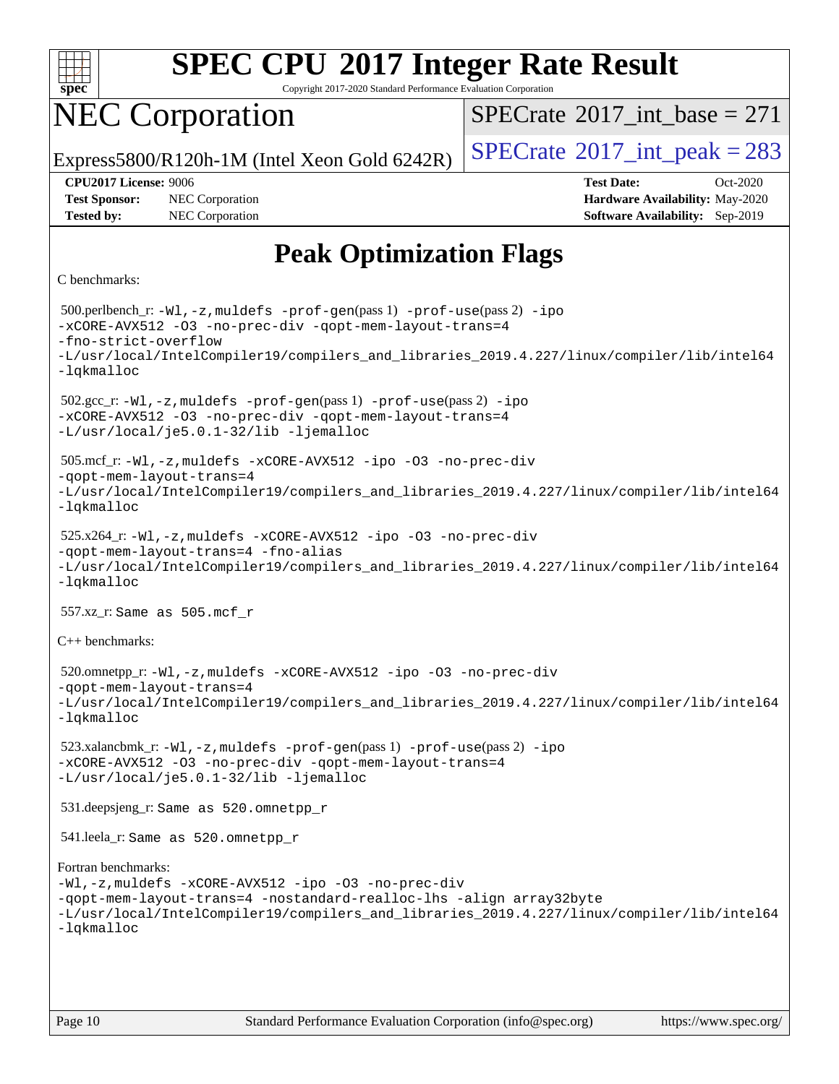

Copyright 2017-2020 Standard Performance Evaluation Corporation

### NEC Corporation

 $SPECTate$ <sup>®</sup>[2017\\_int\\_base =](http://www.spec.org/auto/cpu2017/Docs/result-fields.html#SPECrate2017intbase) 271

Express5800/R120h-1M (Intel Xeon Gold 6242R)  $\left|$  [SPECrate](http://www.spec.org/auto/cpu2017/Docs/result-fields.html#SPECrate2017intpeak)<sup>®</sup>[2017\\_int\\_peak = 2](http://www.spec.org/auto/cpu2017/Docs/result-fields.html#SPECrate2017intpeak)83

**[Tested by:](http://www.spec.org/auto/cpu2017/Docs/result-fields.html#Testedby)** NEC Corporation **[Software Availability:](http://www.spec.org/auto/cpu2017/Docs/result-fields.html#SoftwareAvailability)** Sep-2019

**[CPU2017 License:](http://www.spec.org/auto/cpu2017/Docs/result-fields.html#CPU2017License)** 9006 **[Test Date:](http://www.spec.org/auto/cpu2017/Docs/result-fields.html#TestDate)** Oct-2020 **[Test Sponsor:](http://www.spec.org/auto/cpu2017/Docs/result-fields.html#TestSponsor)** NEC Corporation **[Hardware Availability:](http://www.spec.org/auto/cpu2017/Docs/result-fields.html#HardwareAvailability)** May-2020

### **[Peak Optimization Flags](http://www.spec.org/auto/cpu2017/Docs/result-fields.html#PeakOptimizationFlags)**

```
C benchmarks:
```
 500.perlbench\_r: [-Wl,-z,muldefs](http://www.spec.org/cpu2017/results/res2020q4/cpu2017-20201026-24271.flags.html#user_peakEXTRA_LDFLAGS500_perlbench_r_link_force_multiple1_b4cbdb97b34bdee9ceefcfe54f4c8ea74255f0b02a4b23e853cdb0e18eb4525ac79b5a88067c842dd0ee6996c24547a27a4b99331201badda8798ef8a743f577) [-prof-gen](http://www.spec.org/cpu2017/results/res2020q4/cpu2017-20201026-24271.flags.html#user_peakPASS1_CFLAGSPASS1_LDFLAGS500_perlbench_r_prof_gen_5aa4926d6013ddb2a31985c654b3eb18169fc0c6952a63635c234f711e6e63dd76e94ad52365559451ec499a2cdb89e4dc58ba4c67ef54ca681ffbe1461d6b36)(pass 1) [-prof-use](http://www.spec.org/cpu2017/results/res2020q4/cpu2017-20201026-24271.flags.html#user_peakPASS2_CFLAGSPASS2_LDFLAGS500_perlbench_r_prof_use_1a21ceae95f36a2b53c25747139a6c16ca95bd9def2a207b4f0849963b97e94f5260e30a0c64f4bb623698870e679ca08317ef8150905d41bd88c6f78df73f19)(pass 2) [-ipo](http://www.spec.org/cpu2017/results/res2020q4/cpu2017-20201026-24271.flags.html#user_peakPASS1_COPTIMIZEPASS2_COPTIMIZE500_perlbench_r_f-ipo) [-xCORE-AVX512](http://www.spec.org/cpu2017/results/res2020q4/cpu2017-20201026-24271.flags.html#user_peakPASS2_COPTIMIZE500_perlbench_r_f-xCORE-AVX512) [-O3](http://www.spec.org/cpu2017/results/res2020q4/cpu2017-20201026-24271.flags.html#user_peakPASS1_COPTIMIZEPASS2_COPTIMIZE500_perlbench_r_f-O3) [-no-prec-div](http://www.spec.org/cpu2017/results/res2020q4/cpu2017-20201026-24271.flags.html#user_peakPASS1_COPTIMIZEPASS2_COPTIMIZE500_perlbench_r_f-no-prec-div) [-qopt-mem-layout-trans=4](http://www.spec.org/cpu2017/results/res2020q4/cpu2017-20201026-24271.flags.html#user_peakPASS1_COPTIMIZEPASS2_COPTIMIZE500_perlbench_r_f-qopt-mem-layout-trans_fa39e755916c150a61361b7846f310bcdf6f04e385ef281cadf3647acec3f0ae266d1a1d22d972a7087a248fd4e6ca390a3634700869573d231a252c784941a8) [-fno-strict-overflow](http://www.spec.org/cpu2017/results/res2020q4/cpu2017-20201026-24271.flags.html#user_peakEXTRA_OPTIMIZE500_perlbench_r_f-fno-strict-overflow) [-L/usr/local/IntelCompiler19/compilers\\_and\\_libraries\\_2019.4.227/linux/compiler/lib/intel64](http://www.spec.org/cpu2017/results/res2020q4/cpu2017-20201026-24271.flags.html#user_peakEXTRA_LIBS500_perlbench_r_qkmalloc_link_0ffe0cb02c68ef1b443a077c7888c10c67ca0d1dd7138472156f06a085bbad385f78d49618ad55dca9db3b1608e84afc2f69b4003b1d1ca498a9fc1462ccefda) [-lqkmalloc](http://www.spec.org/cpu2017/results/res2020q4/cpu2017-20201026-24271.flags.html#user_peakEXTRA_LIBS500_perlbench_r_qkmalloc_link_lib_79a818439969f771c6bc311cfd333c00fc099dad35c030f5aab9dda831713d2015205805422f83de8875488a2991c0a156aaa600e1f9138f8fc37004abc96dc5) 502.gcc\_r: [-Wl,-z,muldefs](http://www.spec.org/cpu2017/results/res2020q4/cpu2017-20201026-24271.flags.html#user_peakEXTRA_LDFLAGS502_gcc_r_link_force_multiple1_b4cbdb97b34bdee9ceefcfe54f4c8ea74255f0b02a4b23e853cdb0e18eb4525ac79b5a88067c842dd0ee6996c24547a27a4b99331201badda8798ef8a743f577) [-prof-gen](http://www.spec.org/cpu2017/results/res2020q4/cpu2017-20201026-24271.flags.html#user_peakPASS1_CFLAGSPASS1_LDFLAGS502_gcc_r_prof_gen_5aa4926d6013ddb2a31985c654b3eb18169fc0c6952a63635c234f711e6e63dd76e94ad52365559451ec499a2cdb89e4dc58ba4c67ef54ca681ffbe1461d6b36)(pass 1) [-prof-use](http://www.spec.org/cpu2017/results/res2020q4/cpu2017-20201026-24271.flags.html#user_peakPASS2_CFLAGSPASS2_LDFLAGS502_gcc_r_prof_use_1a21ceae95f36a2b53c25747139a6c16ca95bd9def2a207b4f0849963b97e94f5260e30a0c64f4bb623698870e679ca08317ef8150905d41bd88c6f78df73f19)(pass 2) [-ipo](http://www.spec.org/cpu2017/results/res2020q4/cpu2017-20201026-24271.flags.html#user_peakPASS1_COPTIMIZEPASS2_COPTIMIZE502_gcc_r_f-ipo) [-xCORE-AVX512](http://www.spec.org/cpu2017/results/res2020q4/cpu2017-20201026-24271.flags.html#user_peakPASS2_COPTIMIZE502_gcc_r_f-xCORE-AVX512) [-O3](http://www.spec.org/cpu2017/results/res2020q4/cpu2017-20201026-24271.flags.html#user_peakPASS1_COPTIMIZEPASS2_COPTIMIZE502_gcc_r_f-O3) [-no-prec-div](http://www.spec.org/cpu2017/results/res2020q4/cpu2017-20201026-24271.flags.html#user_peakPASS1_COPTIMIZEPASS2_COPTIMIZE502_gcc_r_f-no-prec-div) [-qopt-mem-layout-trans=4](http://www.spec.org/cpu2017/results/res2020q4/cpu2017-20201026-24271.flags.html#user_peakPASS1_COPTIMIZEPASS2_COPTIMIZE502_gcc_r_f-qopt-mem-layout-trans_fa39e755916c150a61361b7846f310bcdf6f04e385ef281cadf3647acec3f0ae266d1a1d22d972a7087a248fd4e6ca390a3634700869573d231a252c784941a8) [-L/usr/local/je5.0.1-32/lib](http://www.spec.org/cpu2017/results/res2020q4/cpu2017-20201026-24271.flags.html#user_peakEXTRA_LIBS502_gcc_r_jemalloc_link_path32_e29f22e8e6c17053bbc6a0971f5a9c01a601a06bb1a59df2084b77a2fe0a2995b64fd4256feaeea39eeba3aae142e96e2b2b0a28974019c0c0c88139a84f900a) [-ljemalloc](http://www.spec.org/cpu2017/results/res2020q4/cpu2017-20201026-24271.flags.html#user_peakEXTRA_LIBS502_gcc_r_jemalloc_link_lib_d1249b907c500fa1c0672f44f562e3d0f79738ae9e3c4a9c376d49f265a04b9c99b167ecedbf6711b3085be911c67ff61f150a17b3472be731631ba4d0471706) 505.mcf\_r: [-Wl,-z,muldefs](http://www.spec.org/cpu2017/results/res2020q4/cpu2017-20201026-24271.flags.html#user_peakEXTRA_LDFLAGS505_mcf_r_link_force_multiple1_b4cbdb97b34bdee9ceefcfe54f4c8ea74255f0b02a4b23e853cdb0e18eb4525ac79b5a88067c842dd0ee6996c24547a27a4b99331201badda8798ef8a743f577) [-xCORE-AVX512](http://www.spec.org/cpu2017/results/res2020q4/cpu2017-20201026-24271.flags.html#user_peakCOPTIMIZE505_mcf_r_f-xCORE-AVX512) [-ipo](http://www.spec.org/cpu2017/results/res2020q4/cpu2017-20201026-24271.flags.html#user_peakCOPTIMIZE505_mcf_r_f-ipo) [-O3](http://www.spec.org/cpu2017/results/res2020q4/cpu2017-20201026-24271.flags.html#user_peakCOPTIMIZE505_mcf_r_f-O3) [-no-prec-div](http://www.spec.org/cpu2017/results/res2020q4/cpu2017-20201026-24271.flags.html#user_peakCOPTIMIZE505_mcf_r_f-no-prec-div) [-qopt-mem-layout-trans=4](http://www.spec.org/cpu2017/results/res2020q4/cpu2017-20201026-24271.flags.html#user_peakCOPTIMIZE505_mcf_r_f-qopt-mem-layout-trans_fa39e755916c150a61361b7846f310bcdf6f04e385ef281cadf3647acec3f0ae266d1a1d22d972a7087a248fd4e6ca390a3634700869573d231a252c784941a8) [-L/usr/local/IntelCompiler19/compilers\\_and\\_libraries\\_2019.4.227/linux/compiler/lib/intel64](http://www.spec.org/cpu2017/results/res2020q4/cpu2017-20201026-24271.flags.html#user_peakEXTRA_LIBS505_mcf_r_qkmalloc_link_0ffe0cb02c68ef1b443a077c7888c10c67ca0d1dd7138472156f06a085bbad385f78d49618ad55dca9db3b1608e84afc2f69b4003b1d1ca498a9fc1462ccefda) [-lqkmalloc](http://www.spec.org/cpu2017/results/res2020q4/cpu2017-20201026-24271.flags.html#user_peakEXTRA_LIBS505_mcf_r_qkmalloc_link_lib_79a818439969f771c6bc311cfd333c00fc099dad35c030f5aab9dda831713d2015205805422f83de8875488a2991c0a156aaa600e1f9138f8fc37004abc96dc5) 525.x264\_r: [-Wl,-z,muldefs](http://www.spec.org/cpu2017/results/res2020q4/cpu2017-20201026-24271.flags.html#user_peakEXTRA_LDFLAGS525_x264_r_link_force_multiple1_b4cbdb97b34bdee9ceefcfe54f4c8ea74255f0b02a4b23e853cdb0e18eb4525ac79b5a88067c842dd0ee6996c24547a27a4b99331201badda8798ef8a743f577) [-xCORE-AVX512](http://www.spec.org/cpu2017/results/res2020q4/cpu2017-20201026-24271.flags.html#user_peakCOPTIMIZE525_x264_r_f-xCORE-AVX512) [-ipo](http://www.spec.org/cpu2017/results/res2020q4/cpu2017-20201026-24271.flags.html#user_peakCOPTIMIZE525_x264_r_f-ipo) [-O3](http://www.spec.org/cpu2017/results/res2020q4/cpu2017-20201026-24271.flags.html#user_peakCOPTIMIZE525_x264_r_f-O3) [-no-prec-div](http://www.spec.org/cpu2017/results/res2020q4/cpu2017-20201026-24271.flags.html#user_peakCOPTIMIZE525_x264_r_f-no-prec-div) [-qopt-mem-layout-trans=4](http://www.spec.org/cpu2017/results/res2020q4/cpu2017-20201026-24271.flags.html#user_peakCOPTIMIZE525_x264_r_f-qopt-mem-layout-trans_fa39e755916c150a61361b7846f310bcdf6f04e385ef281cadf3647acec3f0ae266d1a1d22d972a7087a248fd4e6ca390a3634700869573d231a252c784941a8) [-fno-alias](http://www.spec.org/cpu2017/results/res2020q4/cpu2017-20201026-24271.flags.html#user_peakEXTRA_OPTIMIZE525_x264_r_f-no-alias_77dbac10d91cbfe898fbf4a29d1b29b694089caa623bdd1baccc9957d4edbe8d106c0b357e2748a65b44fc9e83d78098bb898077f3fe92f9faf24f7bd4a07ed7) [-L/usr/local/IntelCompiler19/compilers\\_and\\_libraries\\_2019.4.227/linux/compiler/lib/intel64](http://www.spec.org/cpu2017/results/res2020q4/cpu2017-20201026-24271.flags.html#user_peakEXTRA_LIBS525_x264_r_qkmalloc_link_0ffe0cb02c68ef1b443a077c7888c10c67ca0d1dd7138472156f06a085bbad385f78d49618ad55dca9db3b1608e84afc2f69b4003b1d1ca498a9fc1462ccefda) [-lqkmalloc](http://www.spec.org/cpu2017/results/res2020q4/cpu2017-20201026-24271.flags.html#user_peakEXTRA_LIBS525_x264_r_qkmalloc_link_lib_79a818439969f771c6bc311cfd333c00fc099dad35c030f5aab9dda831713d2015205805422f83de8875488a2991c0a156aaa600e1f9138f8fc37004abc96dc5) 557.xz\_r: Same as 505.mcf\_r [C++ benchmarks](http://www.spec.org/auto/cpu2017/Docs/result-fields.html#CXXbenchmarks): 520.omnetpp\_r: [-Wl,-z,muldefs](http://www.spec.org/cpu2017/results/res2020q4/cpu2017-20201026-24271.flags.html#user_peakEXTRA_LDFLAGS520_omnetpp_r_link_force_multiple1_b4cbdb97b34bdee9ceefcfe54f4c8ea74255f0b02a4b23e853cdb0e18eb4525ac79b5a88067c842dd0ee6996c24547a27a4b99331201badda8798ef8a743f577) [-xCORE-AVX512](http://www.spec.org/cpu2017/results/res2020q4/cpu2017-20201026-24271.flags.html#user_peakCXXOPTIMIZE520_omnetpp_r_f-xCORE-AVX512) [-ipo](http://www.spec.org/cpu2017/results/res2020q4/cpu2017-20201026-24271.flags.html#user_peakCXXOPTIMIZE520_omnetpp_r_f-ipo) [-O3](http://www.spec.org/cpu2017/results/res2020q4/cpu2017-20201026-24271.flags.html#user_peakCXXOPTIMIZE520_omnetpp_r_f-O3) [-no-prec-div](http://www.spec.org/cpu2017/results/res2020q4/cpu2017-20201026-24271.flags.html#user_peakCXXOPTIMIZE520_omnetpp_r_f-no-prec-div) [-qopt-mem-layout-trans=4](http://www.spec.org/cpu2017/results/res2020q4/cpu2017-20201026-24271.flags.html#user_peakCXXOPTIMIZE520_omnetpp_r_f-qopt-mem-layout-trans_fa39e755916c150a61361b7846f310bcdf6f04e385ef281cadf3647acec3f0ae266d1a1d22d972a7087a248fd4e6ca390a3634700869573d231a252c784941a8) [-L/usr/local/IntelCompiler19/compilers\\_and\\_libraries\\_2019.4.227/linux/compiler/lib/intel64](http://www.spec.org/cpu2017/results/res2020q4/cpu2017-20201026-24271.flags.html#user_peakEXTRA_LIBS520_omnetpp_r_qkmalloc_link_0ffe0cb02c68ef1b443a077c7888c10c67ca0d1dd7138472156f06a085bbad385f78d49618ad55dca9db3b1608e84afc2f69b4003b1d1ca498a9fc1462ccefda) [-lqkmalloc](http://www.spec.org/cpu2017/results/res2020q4/cpu2017-20201026-24271.flags.html#user_peakEXTRA_LIBS520_omnetpp_r_qkmalloc_link_lib_79a818439969f771c6bc311cfd333c00fc099dad35c030f5aab9dda831713d2015205805422f83de8875488a2991c0a156aaa600e1f9138f8fc37004abc96dc5) 523.xalancbmk\_r: [-Wl,-z,muldefs](http://www.spec.org/cpu2017/results/res2020q4/cpu2017-20201026-24271.flags.html#user_peakEXTRA_LDFLAGS523_xalancbmk_r_link_force_multiple1_b4cbdb97b34bdee9ceefcfe54f4c8ea74255f0b02a4b23e853cdb0e18eb4525ac79b5a88067c842dd0ee6996c24547a27a4b99331201badda8798ef8a743f577) [-prof-gen](http://www.spec.org/cpu2017/results/res2020q4/cpu2017-20201026-24271.flags.html#user_peakPASS1_CXXFLAGSPASS1_LDFLAGS523_xalancbmk_r_prof_gen_5aa4926d6013ddb2a31985c654b3eb18169fc0c6952a63635c234f711e6e63dd76e94ad52365559451ec499a2cdb89e4dc58ba4c67ef54ca681ffbe1461d6b36)(pass 1) [-prof-use](http://www.spec.org/cpu2017/results/res2020q4/cpu2017-20201026-24271.flags.html#user_peakPASS2_CXXFLAGSPASS2_LDFLAGS523_xalancbmk_r_prof_use_1a21ceae95f36a2b53c25747139a6c16ca95bd9def2a207b4f0849963b97e94f5260e30a0c64f4bb623698870e679ca08317ef8150905d41bd88c6f78df73f19)(pass 2) [-ipo](http://www.spec.org/cpu2017/results/res2020q4/cpu2017-20201026-24271.flags.html#user_peakPASS1_CXXOPTIMIZEPASS2_CXXOPTIMIZE523_xalancbmk_r_f-ipo) [-xCORE-AVX512](http://www.spec.org/cpu2017/results/res2020q4/cpu2017-20201026-24271.flags.html#user_peakPASS2_CXXOPTIMIZE523_xalancbmk_r_f-xCORE-AVX512) [-O3](http://www.spec.org/cpu2017/results/res2020q4/cpu2017-20201026-24271.flags.html#user_peakPASS1_CXXOPTIMIZEPASS2_CXXOPTIMIZE523_xalancbmk_r_f-O3) [-no-prec-div](http://www.spec.org/cpu2017/results/res2020q4/cpu2017-20201026-24271.flags.html#user_peakPASS1_CXXOPTIMIZEPASS2_CXXOPTIMIZE523_xalancbmk_r_f-no-prec-div) [-qopt-mem-layout-trans=4](http://www.spec.org/cpu2017/results/res2020q4/cpu2017-20201026-24271.flags.html#user_peakPASS1_CXXOPTIMIZEPASS2_CXXOPTIMIZE523_xalancbmk_r_f-qopt-mem-layout-trans_fa39e755916c150a61361b7846f310bcdf6f04e385ef281cadf3647acec3f0ae266d1a1d22d972a7087a248fd4e6ca390a3634700869573d231a252c784941a8) [-L/usr/local/je5.0.1-32/lib](http://www.spec.org/cpu2017/results/res2020q4/cpu2017-20201026-24271.flags.html#user_peakEXTRA_LIBS523_xalancbmk_r_jemalloc_link_path32_e29f22e8e6c17053bbc6a0971f5a9c01a601a06bb1a59df2084b77a2fe0a2995b64fd4256feaeea39eeba3aae142e96e2b2b0a28974019c0c0c88139a84f900a) [-ljemalloc](http://www.spec.org/cpu2017/results/res2020q4/cpu2017-20201026-24271.flags.html#user_peakEXTRA_LIBS523_xalancbmk_r_jemalloc_link_lib_d1249b907c500fa1c0672f44f562e3d0f79738ae9e3c4a9c376d49f265a04b9c99b167ecedbf6711b3085be911c67ff61f150a17b3472be731631ba4d0471706) 531.deepsjeng\_r: Same as 520.omnetpp\_r 541.leela\_r: Same as 520.omnetpp\_r [Fortran benchmarks](http://www.spec.org/auto/cpu2017/Docs/result-fields.html#Fortranbenchmarks): [-Wl,-z,muldefs](http://www.spec.org/cpu2017/results/res2020q4/cpu2017-20201026-24271.flags.html#user_FCpeak_link_force_multiple1_b4cbdb97b34bdee9ceefcfe54f4c8ea74255f0b02a4b23e853cdb0e18eb4525ac79b5a88067c842dd0ee6996c24547a27a4b99331201badda8798ef8a743f577) [-xCORE-AVX512](http://www.spec.org/cpu2017/results/res2020q4/cpu2017-20201026-24271.flags.html#user_FCpeak_f-xCORE-AVX512) [-ipo](http://www.spec.org/cpu2017/results/res2020q4/cpu2017-20201026-24271.flags.html#user_FCpeak_f-ipo) [-O3](http://www.spec.org/cpu2017/results/res2020q4/cpu2017-20201026-24271.flags.html#user_FCpeak_f-O3) [-no-prec-div](http://www.spec.org/cpu2017/results/res2020q4/cpu2017-20201026-24271.flags.html#user_FCpeak_f-no-prec-div) [-qopt-mem-layout-trans=4](http://www.spec.org/cpu2017/results/res2020q4/cpu2017-20201026-24271.flags.html#user_FCpeak_f-qopt-mem-layout-trans_fa39e755916c150a61361b7846f310bcdf6f04e385ef281cadf3647acec3f0ae266d1a1d22d972a7087a248fd4e6ca390a3634700869573d231a252c784941a8) [-nostandard-realloc-lhs](http://www.spec.org/cpu2017/results/res2020q4/cpu2017-20201026-24271.flags.html#user_FCpeak_f_2003_std_realloc_82b4557e90729c0f113870c07e44d33d6f5a304b4f63d4c15d2d0f1fab99f5daaed73bdb9275d9ae411527f28b936061aa8b9c8f2d63842963b95c9dd6426b8a) [-align array32byte](http://www.spec.org/cpu2017/results/res2020q4/cpu2017-20201026-24271.flags.html#user_FCpeak_align_array32byte_b982fe038af199962ba9a80c053b8342c548c85b40b8e86eb3cc33dee0d7986a4af373ac2d51c3f7cf710a18d62fdce2948f201cd044323541f22fc0fffc51b6) [-L/usr/local/IntelCompiler19/compilers\\_and\\_libraries\\_2019.4.227/linux/compiler/lib/intel64](http://www.spec.org/cpu2017/results/res2020q4/cpu2017-20201026-24271.flags.html#user_FCpeak_qkmalloc_link_0ffe0cb02c68ef1b443a077c7888c10c67ca0d1dd7138472156f06a085bbad385f78d49618ad55dca9db3b1608e84afc2f69b4003b1d1ca498a9fc1462ccefda) [-lqkmalloc](http://www.spec.org/cpu2017/results/res2020q4/cpu2017-20201026-24271.flags.html#user_FCpeak_qkmalloc_link_lib_79a818439969f771c6bc311cfd333c00fc099dad35c030f5aab9dda831713d2015205805422f83de8875488a2991c0a156aaa600e1f9138f8fc37004abc96dc5)